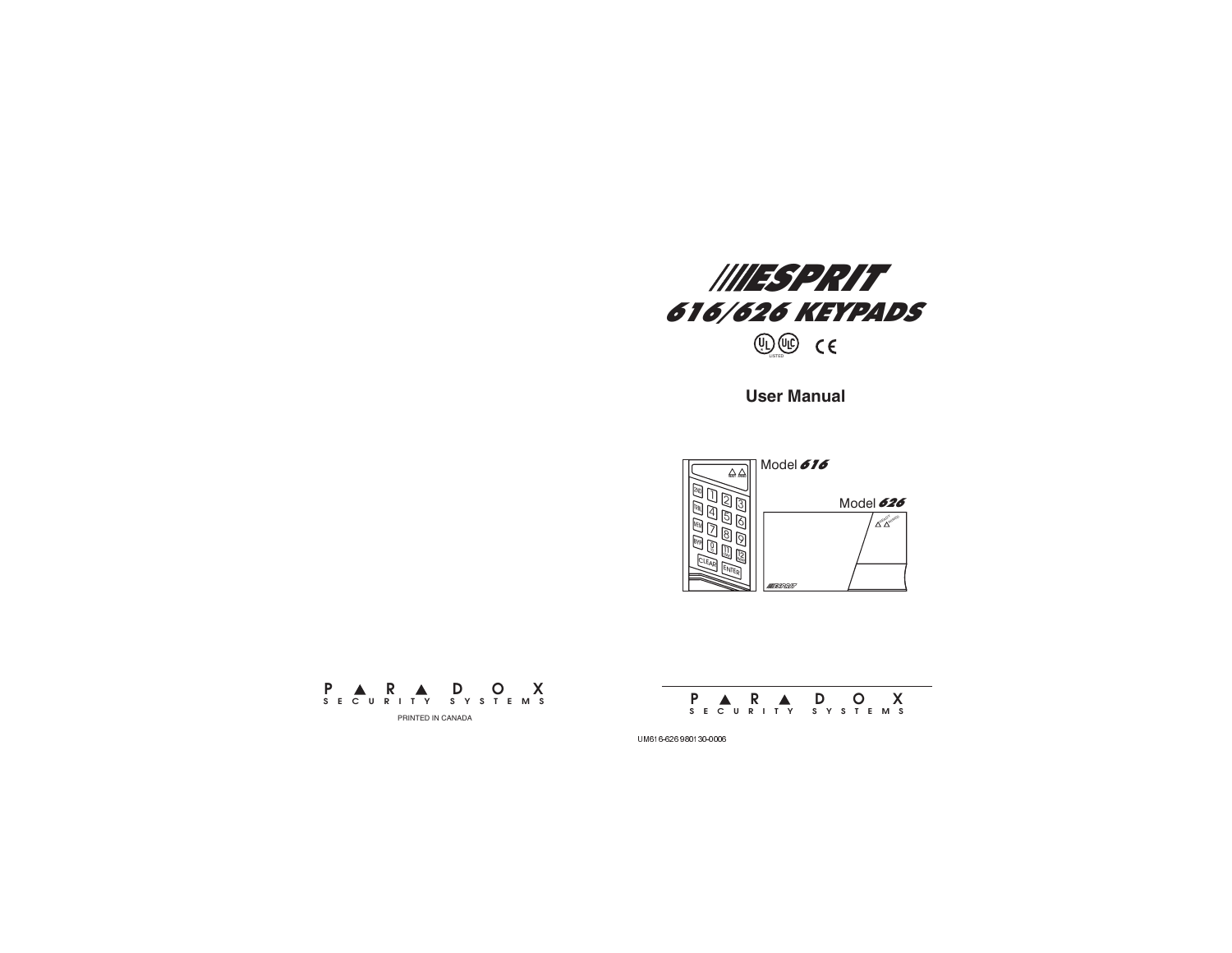

**User Manual**





**P R DOX SECURITY SYSTEMS**

UM616-626 980130-0006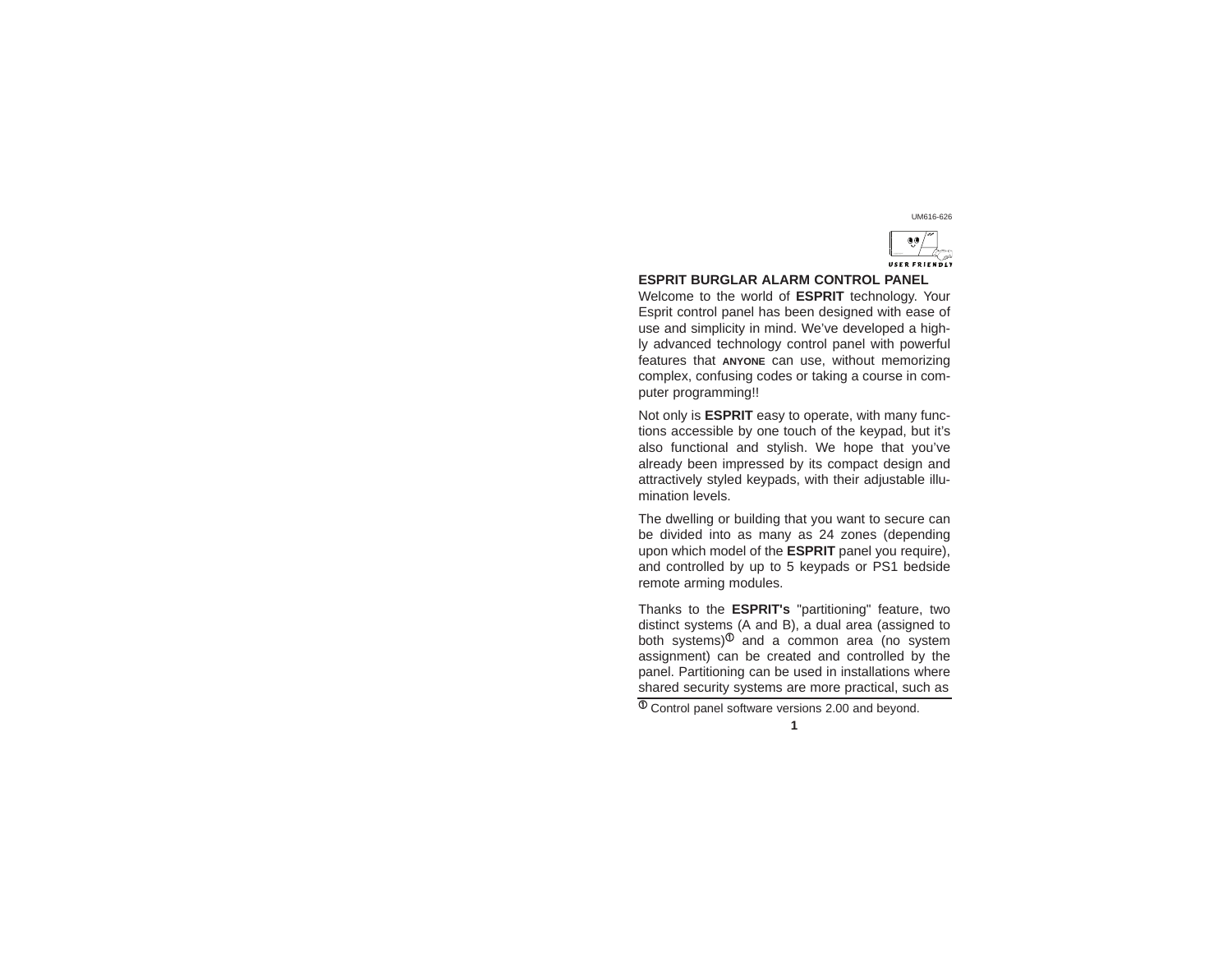# UM616-626



## **ESPRIT BURGLAR ALARM CONTROL PANEL**

Welcome to the world of **ESPRIT** technology. Your Esprit control panel has been designed with ease of use and simplicity in mind. We've developed a highly advanced technology control panel with powerful features that **ANYONE** can use, without memorizing complex, confusing codes or taking a course in computer programming!!

Not only is **ESPRIT** easy to operate, with many functions accessible by one touch of the keypad, but it's also functional and stylish. We hope that you've already been impressed by its compact design and attractively styled keypads, with their adjustable illumination levels.

The dwelling or building that you want to secure can be divided into as many as 24 zones (depending upon which model of the **ESPRIT** panel you require), and controlled by up to 5 keypads or PS1 bedside remote arming modules.

Thanks to the **ESPRIT's** "partitioning" feature, two distinct systems (A and B), a dual area (assigned to both systems) $\Phi$  and a common area (no system assignment) can be created and controlled by the panel. Partitioning can be used in installations where shared security systems are more practical, such as

 $\overline{\Phi}$  Control panel software versions 2.00 and beyond. **1**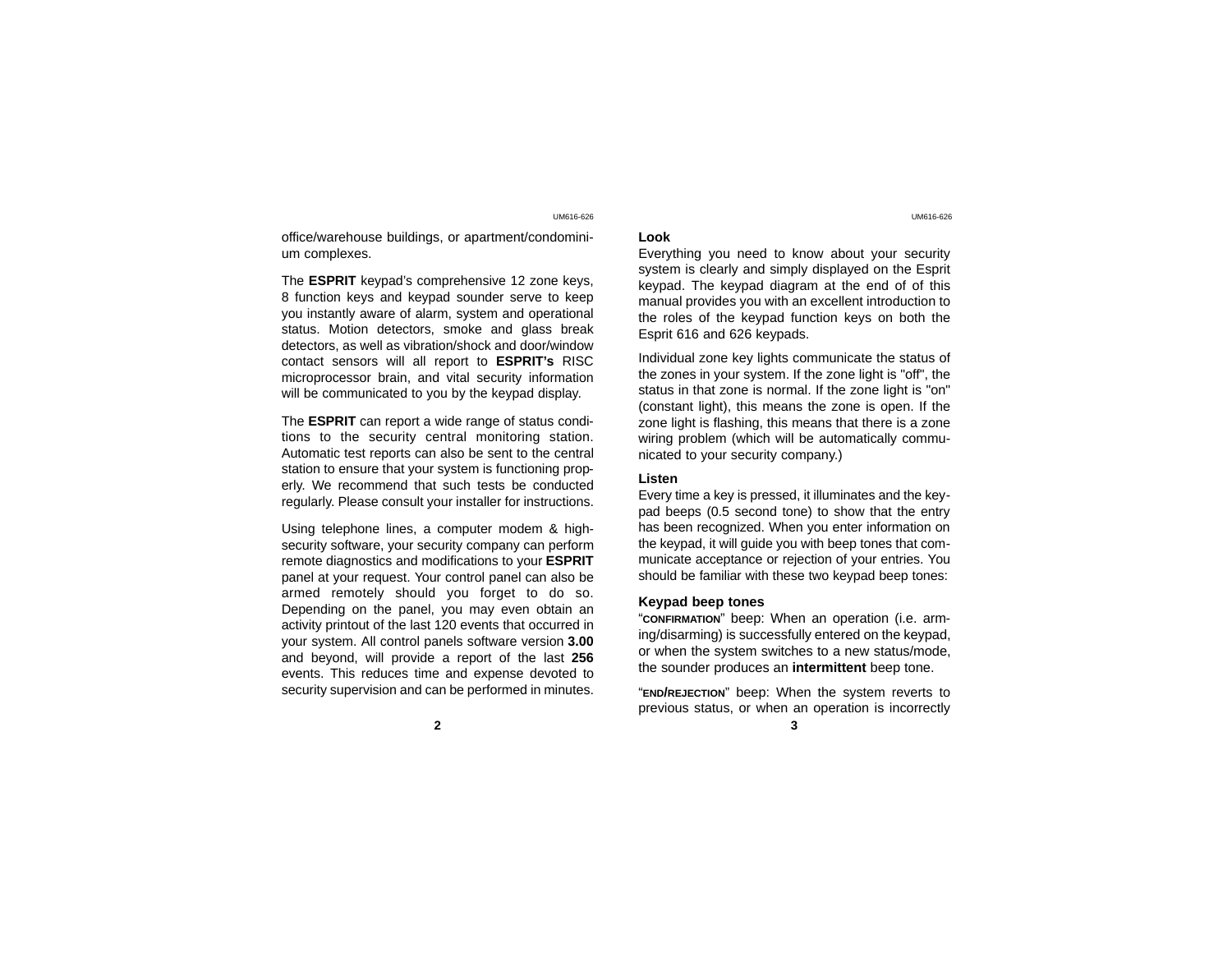office/warehouse buildings, or apartment/condominium complexes.

The **ESPRIT** keypad's comprehensive 12 zone keys, 8 function keys and keypad sounder serve to keep you instantly aware of alarm, system and operational status. Motion detectors, smoke and glass break detectors, as well as vibration/shock and door/window contact sensors will all report to **ESPRIT's** RISC microprocessor brain, and vital security information will be communicated to you by the keypad display.

The **ESPRIT** can report a wide range of status conditions to the security central monitoring station. Automatic test reports can also be sent to the central station to ensure that your system is functioning properly. We recommend that such tests be conducted regularly. Please consult your installer for instructions.

Using telephone lines, a computer modem & highsecurity software, your security company can perform remote diagnostics and modifications to your **ESPRIT** panel at your request. Your control panel can also be armed remotely should you forget to do so. Depending on the panel, you may even obtain an activity printout of the last 120 events that occurred in your system. All control panels software version **3.00** and beyond, will provide a report of the last **256** events. This reduces time and expense devoted to security supervision and can be performed in minutes.

### **Look**

Everything you need to know about your security system is clearly and simply displayed on the Esprit keypad. The keypad diagram at the end of of this manual provides you with an excellent introduction to the roles of the keypad function keys on both the Esprit 616 and 626 keypads.

Individual zone key lights communicate the status of the zones in your system. If the zone light is "off", the status in that zone is normal. If the zone light is "on" (constant light), this means the zone is open. If the zone light is flashing, this means that there is a zone wiring problem (which will be automatically communicated to your security company.)

## **Listen**

Every time a key is pressed, it illuminates and the keypad beeps (0.5 second tone) to show that the entry has been recognized. When you enter information on the keypad, it will guide you with beep tones that communicate acceptance or rejection of your entries. You should be familiar with these two keypad beep tones:

## **Keypad beep tones**

"**CONFIRMATION**" beep: When an operation (i.e. arming/disarming) is successfully entered on the keypad, or when the system switches to a new status/mode, the sounder produces an **intermittent** beep tone.

"**END/REJECTION**" beep: When the system reverts to previous status, or when an operation is incorrectly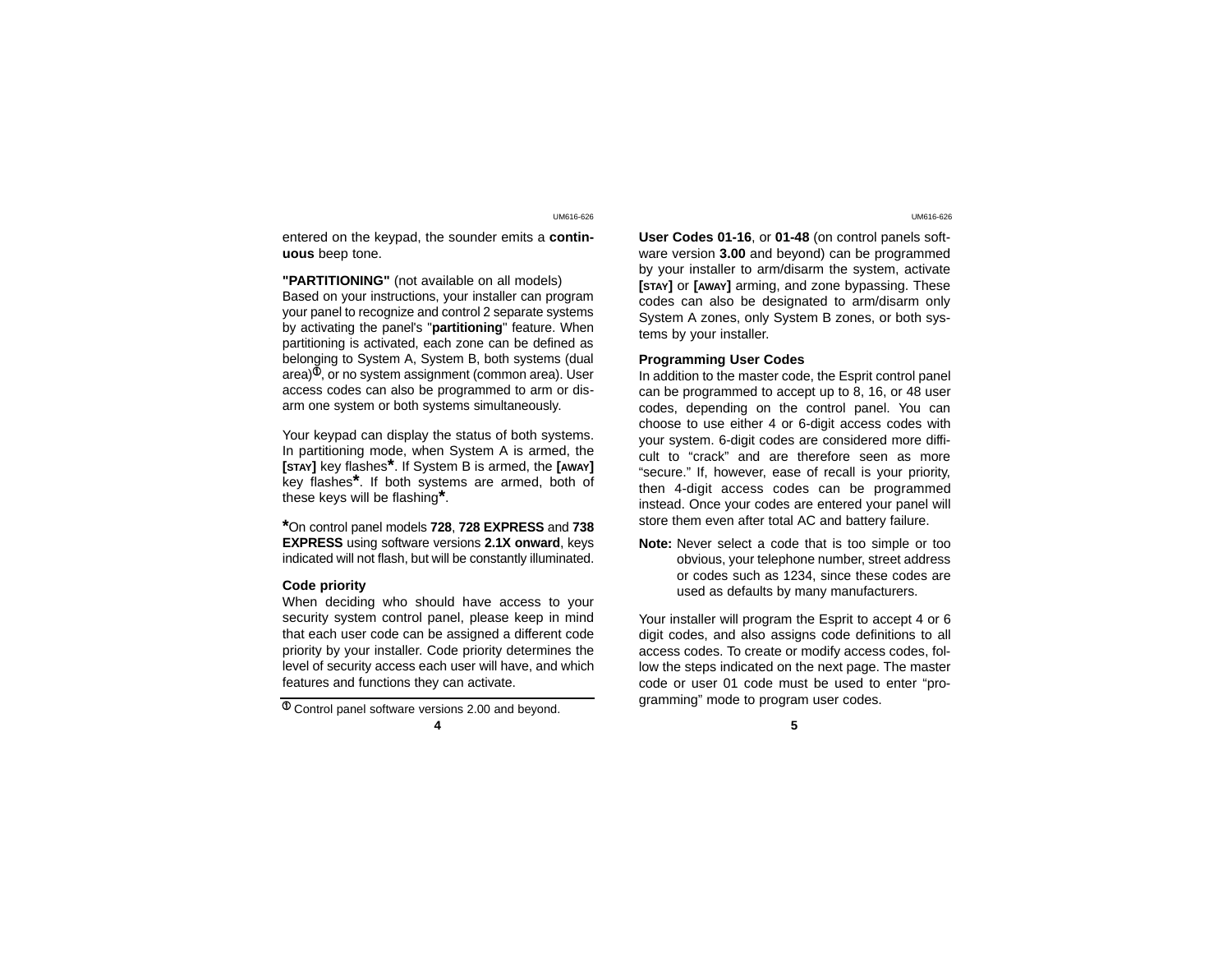entered on the keypad, the sounder emits a **continuous** beep tone.

**"PARTITIONING"** (not available on all models)

Based on your instructions, your installer can program your panel to recognize and control 2 separate systems by activating the panel's "**partitioning**" feature. When partitioning is activated, each zone can be defined as belonging to System A, System B, both systems (dual  $|a|$ , or no system assignment (common area). User access codes can also be programmed to arm or disarm one system or both systems simultaneously.

Your keypad can display the status of both systems. In partitioning mode, when System A is armed, the **[STAY]** key flashes**\***. If System B is armed, the **[AWAY]** key flashes**\***. If both systems are armed, both of these keys will be flashing**\***.

**\***On control panel models **728**, **728 EXPRESS** and **<sup>738</sup> EXPRESS** using software versions **2.1X onward**, keys indicated will not flash, but will be constantly illuminated.

## **Code priority**

When deciding who should have access to your security system control panel, please keep in mind that each user code can be assigned a different code priority by your installer. Code priority determines the level of security access each user will have, and which features and functions they can activate.

 $\Phi$  Control panel software versions 2.00 and beyond.

**4 5**

UM616-626 UM616-626

**User Codes 01-16**, or **01-48** (on control panels software version **3.00** and beyond) can be programmed by your installer to arm/disarm the system, activate **[STAY]** or **[AWAY]** arming, and zone bypassing. These codes can also be designated to arm/disarm only System A zones, only System B zones, or both systems by your installer.

## **Programming User Codes**

In addition to the master code, the Esprit control panel can be programmed to accept up to 8, 16, or 48 user codes, depending on the control panel. You can choose to use either 4 or 6-digit access codes with your system. 6-digit codes are considered more difficult to "crack" and are therefore seen as more "secure." If, however, ease of recall is your priority, then 4-digit access codes can be programmed instead. Once your codes are entered your panel will store them even after total AC and battery failure.

**Note:** Never select a code that is too simple or too obvious, your telephone number, street address or codes such as 1234, since these codes are used as defaults by many manufacturers.

Your installer will program the Esprit to accept 4 or 6 digit codes, and also assigns code definitions to all access codes. To create or modify access codes, follow the steps indicated on the next page. The master code or user 01 code must be used to enter "programming" mode to program user codes.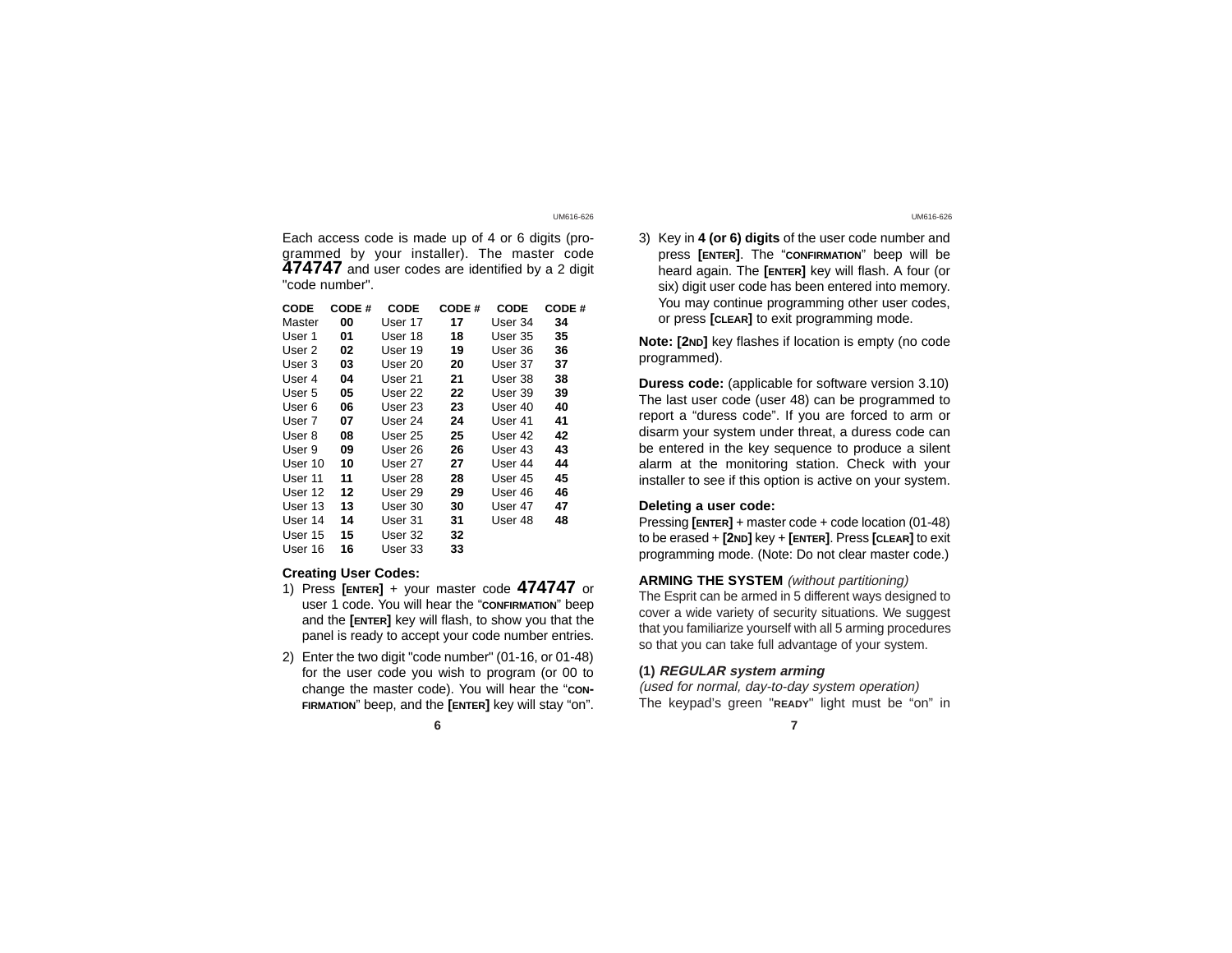Each access code is made up of 4 or 6 digits (programmed by your installer). The master code<br>**474747** and user codes are identified by a 2 digit "code number".

| CODE    | CODE # | <b>CODE</b> | CODE# | <b>CODE</b> | CODE# |
|---------|--------|-------------|-------|-------------|-------|
| Master  | 00     | User 17     | 17    | User 34     | 34    |
| User 1  | 01     | User 18     | 18    | User 35     | 35    |
| User 2  | 02     | User 19     | 19    | User 36     | 36    |
| User 3  | 03     | User 20     | 20    | User 37     | 37    |
| User 4  | 04     | User 21     | 21    | User 38     | 38    |
| User 5  | 05     | User 22     | 22    | User 39     | 39    |
| User 6  | 06     | User 23     | 23    | User 40     | 40    |
| User 7  | 07     | User 24     | 24    | User 41     | 41    |
| User 8  | 80     | User 25     | 25    | User 42     | 42    |
| User 9  | 09     | User 26     | 26    | User 43     | 43    |
| User 10 | 10     | User 27     | 27    | User 44     | 44    |
| User 11 | 11     | User 28     | 28    | User 45     | 45    |
| User 12 | 12     | User 29     | 29    | User 46     | 46    |
| User 13 | 13     | User 30     | 30    | User 47     | 47    |
| User 14 | 14     | User 31     | 31    | User 48     | 48    |
| User 15 | 15     | User 32     | 32    |             |       |
| User 16 | 16     | User 33     | 33    |             |       |
|         |        |             |       |             |       |

# **Creating User Codes:**

- 1) Press **[ENTER]** + your master code **474747** or user 1 code. You will hear the "**CONFIRMATION**" beep and the **[ENTER]** key will flash, to show you that the panel is ready to accept your code number entries.
- 2) Enter the two digit "code number" (01-16, or 01-48) for the user code you wish to program (or 00 to change the master code). You will hear the "con-**FIRMATION**" beep, and the **[ENTER]** key will stay "on".
	- **6 7**

## UM616-626 UM616-626

3) Key in **4 (or 6) digits** of the user code number and press **[ENTER]**. The "**CONFIRMATION**" beep will be heard again. The **[ENTER]** key will flash. A four (or six) digit user code has been entered into memory. You may continue programming other user codes, or press **[CLEAR]** to exit programming mode.

**Note: [2ND]** key flashes if location is empty (no code programmed).

**Duress code:** (applicable for software version 3.10) The last user code (user 48) can be programmed to report a "duress code". If you are forced to arm or disarm your system under threat, a duress code can be entered in the key sequence to produce a silent alarm at the monitoring station. Check with your installer to see if this option is active on your system.

## **Deleting a user code:**

Pressing **[ENTER]** + master code + code location (01-48) to be erased + **[2ND]** key + **[ENTER]**. Press **[CLEAR]** to exit programming mode. (Note: Do not clear master code.)

# **ARMING THE SYSTEM** (without partitioning)

The Esprit can be armed in 5 different ways designed to cover a wide variety of security situations. We suggest that you familiarize yourself with all 5 arming procedures so that you can take full advantage of your system.

# **(1) REGULAR system arming**

(used for normal, day-to-day system operation) The keypad's green "**READY**" light must be "on" in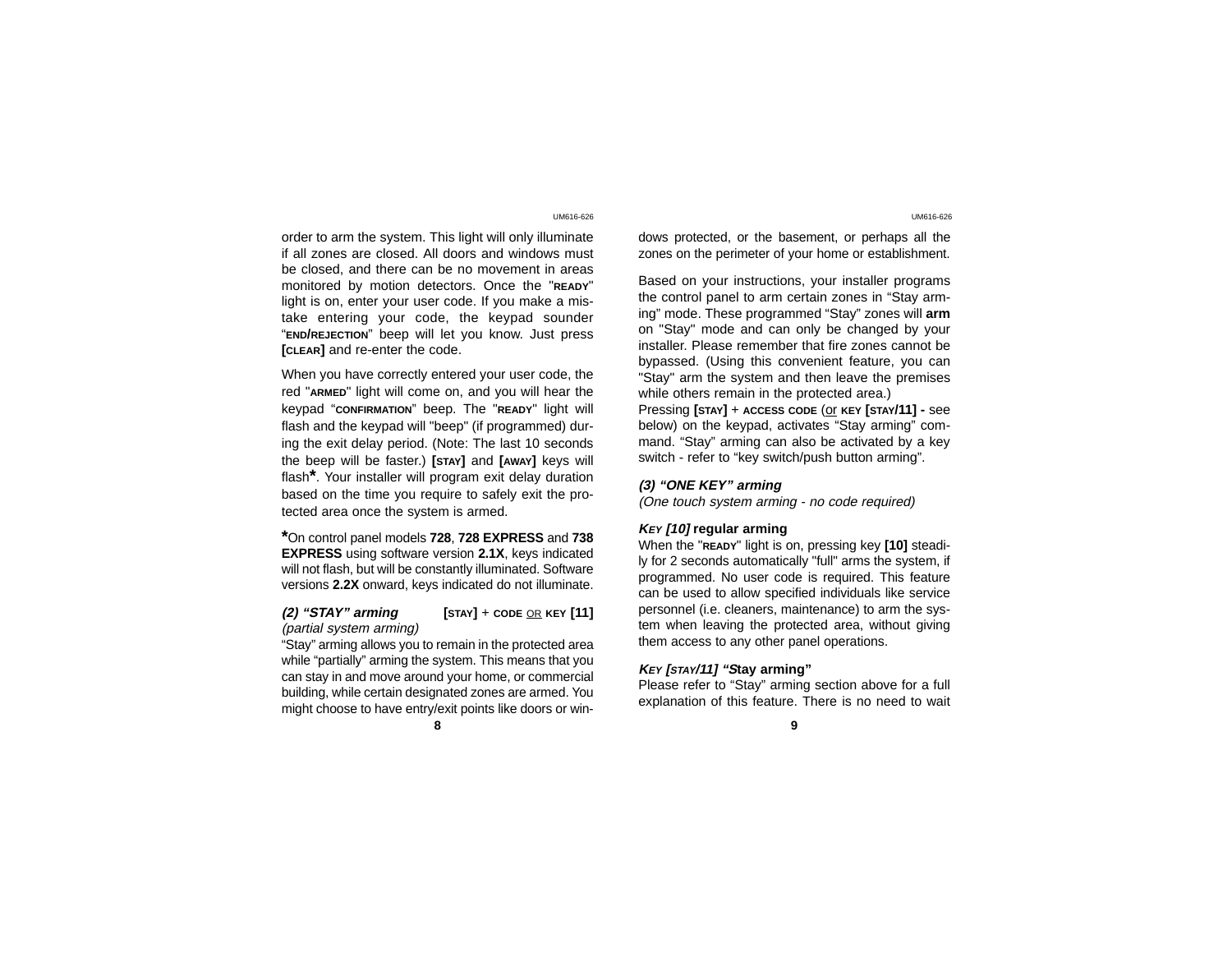order to arm the system. This light will only illuminate if all zones are closed. All doors and windows must be closed, and there can be no movement in areas monitored by motion detectors. Once the "**READY**" light is on, enter your user code. If you make a mistake entering your code, the keypad sounder "**END/REJECTION**" beep will let you know. Just press **[CLEAR]** and re-enter the code.

When you have correctly entered your user code, the red "**ARMED**" light will come on, and you will hear the keypad "**CONFIRMATION**" beep. The "**READY**" light will flash and the keypad will "beep" (if programmed) during the exit delay period. (Note: The last 10 seconds the beep will be faster.) **[STAY]** and **[AWAY]** keys will flash**\***. Your installer will program exit delay duration based on the time you require to safely exit the protected area once the system is armed.

**\***On control panel models **728**, **728 EXPRESS** and **<sup>738</sup> EXPRESS** using software version **2.1X**, keys indicated will not flash, but will be constantly illuminated. Software versions **2.2X** onward, keys indicated do not illuminate.

## **(2) "STAY" arming [STAY]** + **CODE** OR **KEY [11]** (partial system arming)

"Stay" arming allows you to remain in the protected area while "partially" arming the system. This means that you can stay in and move around your home, or commercial building, while certain designated zones are armed. You might choose to have entry/exit points like doors or win-

dows protected, or the basement, or perhaps all the zones on the perimeter of your home or establishment.

Based on your instructions, your installer programs the control panel to arm certain zones in "Stay arm ing" mode. These programmed "Stay" zones will **arm** on "Stay" mode and can only be changed by your installer. Please remember that fire zones cannot be bypassed. (Using this convenient feature, you can "Stay" arm the system and then leave the premises while others remain in the protected area.)

Pressing **[STAY]** + **ACCESS CODE** (or **KEY [STAY/11] -** see below) on the keypad, activates "Stay arming" com mand. "Stay" arming can also be activated by a key switch - refer to "key switch/push button arming".

# **(3) "ONE KEY" arming**

(One touch system arming - no code required)

## **KEY [10] regular arming**

When the "**READY**" light is on, pressing key **[10]** steadi ly for 2 seconds automatically "full" arms the system, if programmed. No user code is required. This feature can be used to allow specified individuals like service personnel (i.e. cleaners, maintenance) to arm the sys tem when leaving the protected area, without giving them access to any other panel operations.

# **KEY [STAY/11] "Stay arming"**

Please refer to "Stay" arming section above for a full explanation of this feature. There is no need to wait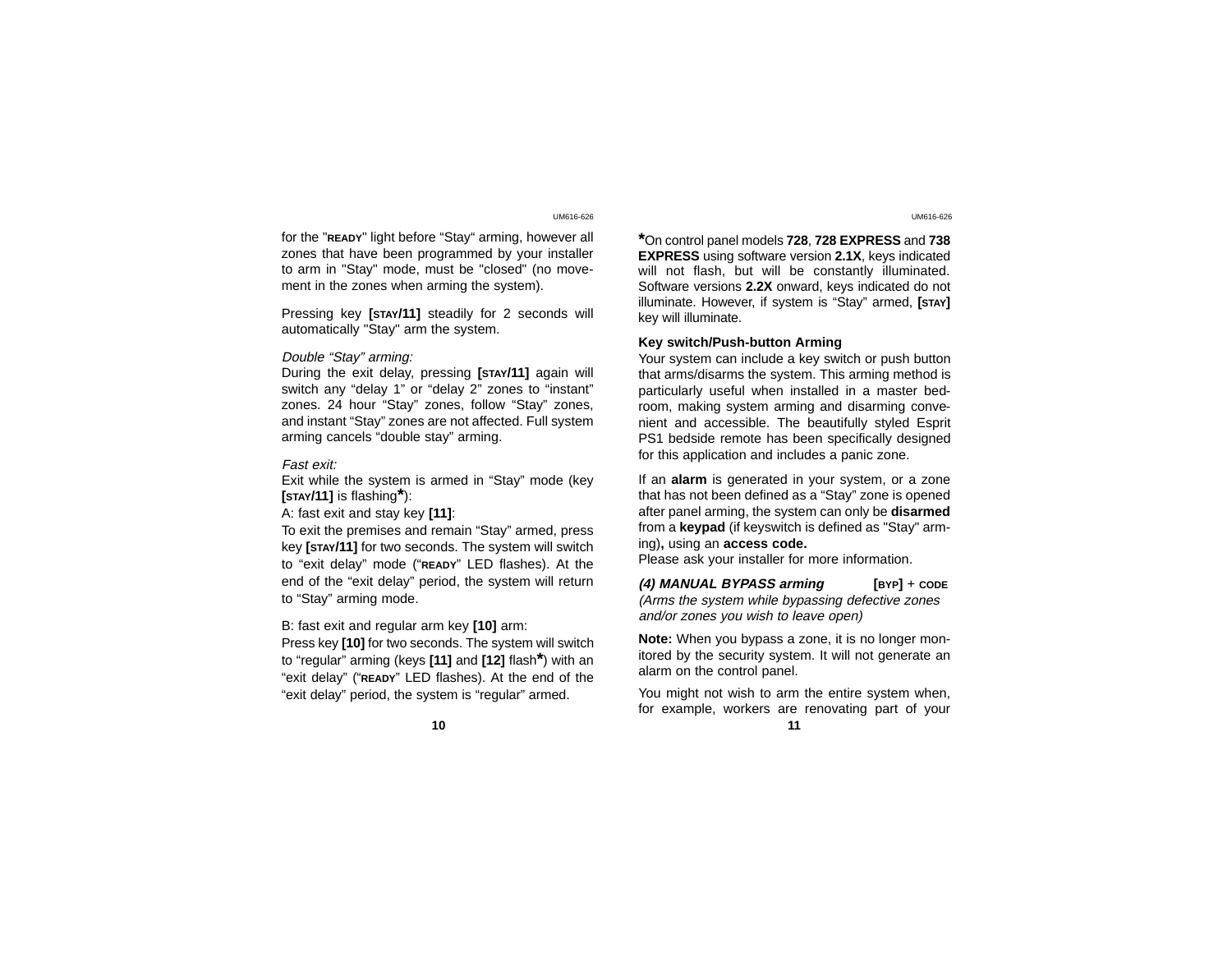for the "**READY**" light before "Stay" arming, however all zones that have been programmed by your installer to arm in "Stay" mode, must be "closed" (no movement in the zones when arming the system).

Pressing key **[STAY/11]** steadily for 2 seconds will automatically "Stay" arm the system.

## Double "Stay" arming:

During the exit delay, pressing **[STAY/11]** again will switch any "delay 1" or "delay 2" zones to "instant" zones. 24 hour "Stay" zones, follow "Stay" zones, and instant "Stay" zones are not affected. Full system arming cancels "double stay" arming.

## Fast exit:

Exit while the system is armed in "Stay" mode (key **[STAY/11]** is flashing**\***):

A: fast exit and stay key **[11]**:

To exit the premises and remain "Stay" armed, press key **[STAY/11]** for two seconds. The system will switch to "exit delay" mode ("**READY**" LED flashes). At the end of the "exit delay" period, the system will return to "Stay" arming mode.

B: fast exit and regular arm key **[10]** arm:

Press key **[10]** for two seconds. The system will switch to "regular" arming (keys **[11]** and **[12]** flash**\***) with an "exit delay" ("**READY**" LED flashes). At the end of the "exit delay" period, the system is "regular" armed.

**\***On control panel models **728**, **728 EXPRESS** and **<sup>738</sup> EXPRESS** using software version **2.1X**, keys indicated will not flash, but will be constantly illuminated. Software versions **2.2X** onward, keys indicated do not illuminate. However, if system is "Stay" armed, **[STAY]** key will illuminate.

## **Key switch/Push-button Arming**

Your system can include a key switch or push button that arms/disarms the system. This arming method is particularly useful when installed in a master bedroom, making system arming and disarming convenient and accessible. The beautifully styled Esprit PS1 bedside remote has been specifically designed for this application and includes a panic zone.

If an **alarm** is generated in your system, or a zone that has not been defined as a "Stay" zone is opened after panel arming, the system can only be **disarmed** from a **keypad** (if keyswitch is defined as "Stay" arming)**,** using an **access code.**

Please ask your installer for more information.

**(4) MANUAL BYPASS arming [BYP]** <sup>+</sup>**CODE** (Arms the system while bypassing defective zones and/or zones you wish to leave open)

**Note:** When you bypass a zone, it is no longer monitored by the security system. It will not generate an alarm on the control panel.

You might not wish to arm the entire system when, for example, workers are renovating part of your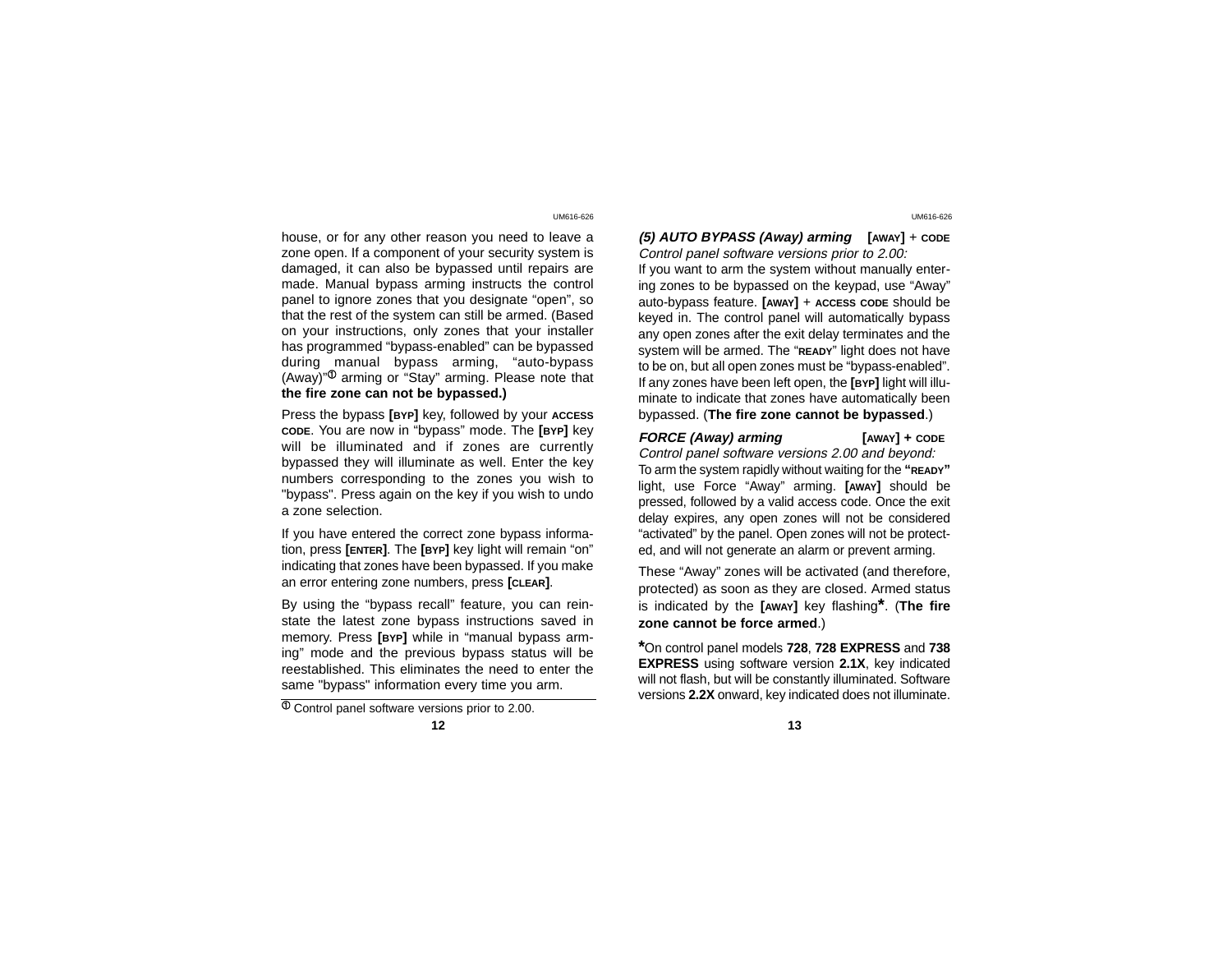house, or for any other reason you need to leave a zone open. If a component of your security system is damaged, it can also be bypassed until repairs are made. Manual bypass arming instructs the control panel to ignore zones that you designate "open", so that the rest of the system can still be armed. (Based on your instructions, only zones that your installer has programmed "bypass-enabled" can be bypassed during manual bypass arming, "auto-bypass (Away) $\mathrm{N}^{\mathrm{D}}$  arming or "Stay" arming. Please note that **the fire zone can not be bypassed.)**

Press the bypass **[BYP]** key, followed by your **ACCESS CODE**. You are now in "bypass" mode. The **[BYP]** key will be illuminated and if zones are currently bypassed they will illuminate as well. Enter the key numbers corresponding to the zones you wish to "bypass". Press again on the key if you wish to undo a zone selection.

If you have entered the correct zone bypass information, press **[ENTER]**. The **[BYP]** key light will remain "on" indicating that zones have been bypassed. If you make an error entering zone numbers, press **[CLEAR]**.

By using the "bypass recall" feature, you can reinstate the latest zone bypass instructions saved in memory. Press **[BYP]** while in "manual bypass arming" mode and the previous bypass status will be reestablished. This eliminates the need to enter the same "bypass" information every time you arm.

 $\overline{\Phi}$  Control panel software versions prior to 2.00.

**12 13**

UM616-626 UM616-626

**(5) AUTO BYPASS (Away) arming [AWAY]** + **CODE** Control panel software versions prior to 2.00: If you want to arm the system without manually entering zones to be bypassed on the keypad, use "Away" auto-bypass feature. **[AWAY]** <sup>+</sup>**ACCESS CODE** should be keyed in. The control panel will automatically bypass any open zones after the exit delay terminates and the system will be armed. The "**READY**" light does not have to be on, but all open zones must be "bypass-enabled". If any zones have been left open, the **[BYP]** light will illuminate to indicate that zones have automatically been bypassed. (**The fire zone cannot be bypassed**.)

**FORCE (Away) arming [AWAY] + CODE** Control panel software versions 2.00 and beyond: To arm the system rapidly without waiting for the **"READY"** light, use Force "Away" arming. **[AWAY]** should be pressed, followed by a valid access code. Once the exit delay expires, any open zones will not be considered "activated" by the panel. Open zones will not be protected, and will not generate an alarm or prevent arming.

These "Away" zones will be activated (and therefore, protected) as soon as they are closed. Armed status is indicated by the **[AWAY]** key flashing**\***. (**The fire zone cannot be force armed**.)

**\***On control panel models **728**, **728 EXPRESS** and **<sup>738</sup> EXPRESS** using software version **2.1X**, key indicated will not flash, but will be constantly illuminated. Software versions **2.2X** onward, key indicated does not illuminate.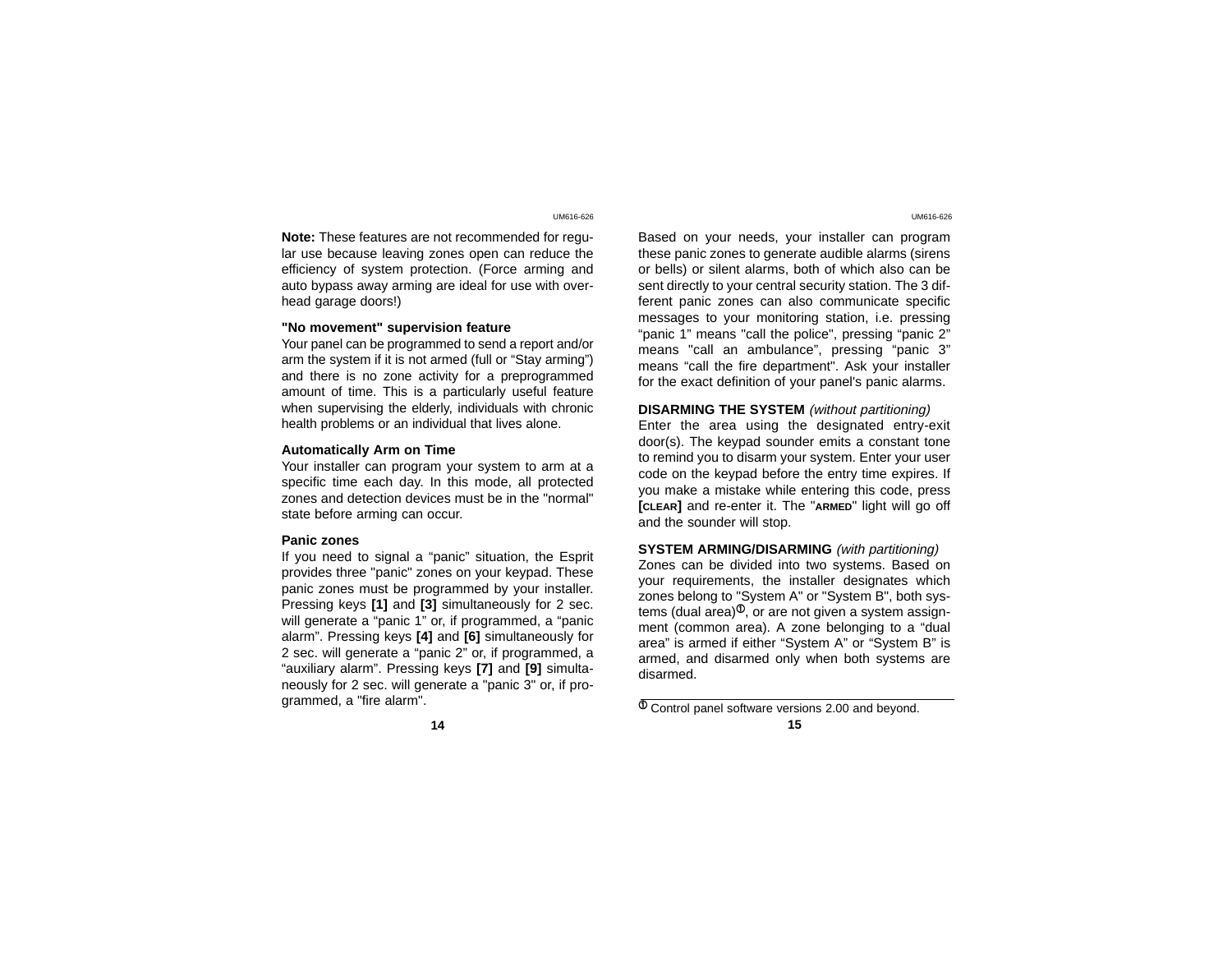**Note:** These features are not recommended for regular use because leaving zones open can reduce the efficiency of system protection. (Force arming and auto bypass away arming are ideal for use with overhead garage doors!)

## **"No movement" supervision feature**

Your panel can be programmed to send a report and/or arm the system if it is not armed (full or "Stay arming") and there is no zone activity for a preprogrammed amount of time. This is a particularly useful feature when supervising the elderly, individuals with chronic health problems or an individual that lives alone.

## **Automatically Arm on Time**

Your installer can program your system to arm at a specific time each day. In this mode, all protected zones and detection devices must be in the "normal" state before arming can occur.

## **Panic zones**

If you need to signal a "panic" situation, the Esprit provides three "panic" zones on your keypad. These panic zones must be programmed by your installer. Pressing keys **[1]** and **[3]** simultaneously for 2 sec. will generate a "panic 1" or, if programmed, a "panic alarm". Pressing keys **[4]** and **[6]** simultaneously for 2 sec. will generate a "panic 2" or, if programmed, a "auxiliary alarm". Pressing keys **[7]** and **[9]** simultaneously for 2 sec. will generate a "panic 3" or, if programmed, a "fire alarm".

Based on your needs, your installer can program these panic zones to generate audible alarms (sirens or bells) or silent alarms, both of which also can be sent directly to your central security station. The 3 different panic zones can also communicate specific messages to your monitoring station, i.e. pressing "panic 1" means "call the police", pressing "panic 2" means "call an ambulance", pressing "panic 3" means "call the fire department". Ask your installer for the exact definition of your panel's panic alarms.

## **DISARMING THE SYSTEM** (without partitioning)

Enter the area using the designated entry-exit door(s). The keypad sounder emits a constant tone to remind you to disarm your system. Enter your user code on the keypad before the entry time expires. If you make a mistake while entering this code, press **[CLEAR]** and re-enter it. The "**ARMED**" light will go off and the sounder will stop.

**SYSTEM ARMING/DISARMING** (with partitioning) Zones can be divided into two systems. Based on your requirements, the installer designates which zones belong to "System A" or "System B", both systems (dual area) $^\text{\textregistered}$ , or are not given a system assignment (common area). A zone belonging to a "dual area" is armed if either "System A" or "System B" is armed, and disarmed only when both systems are disarmed.

 $\Phi$  Control panel software versions 2.00 and beyond. **14 15**

UM616-626 UM616-626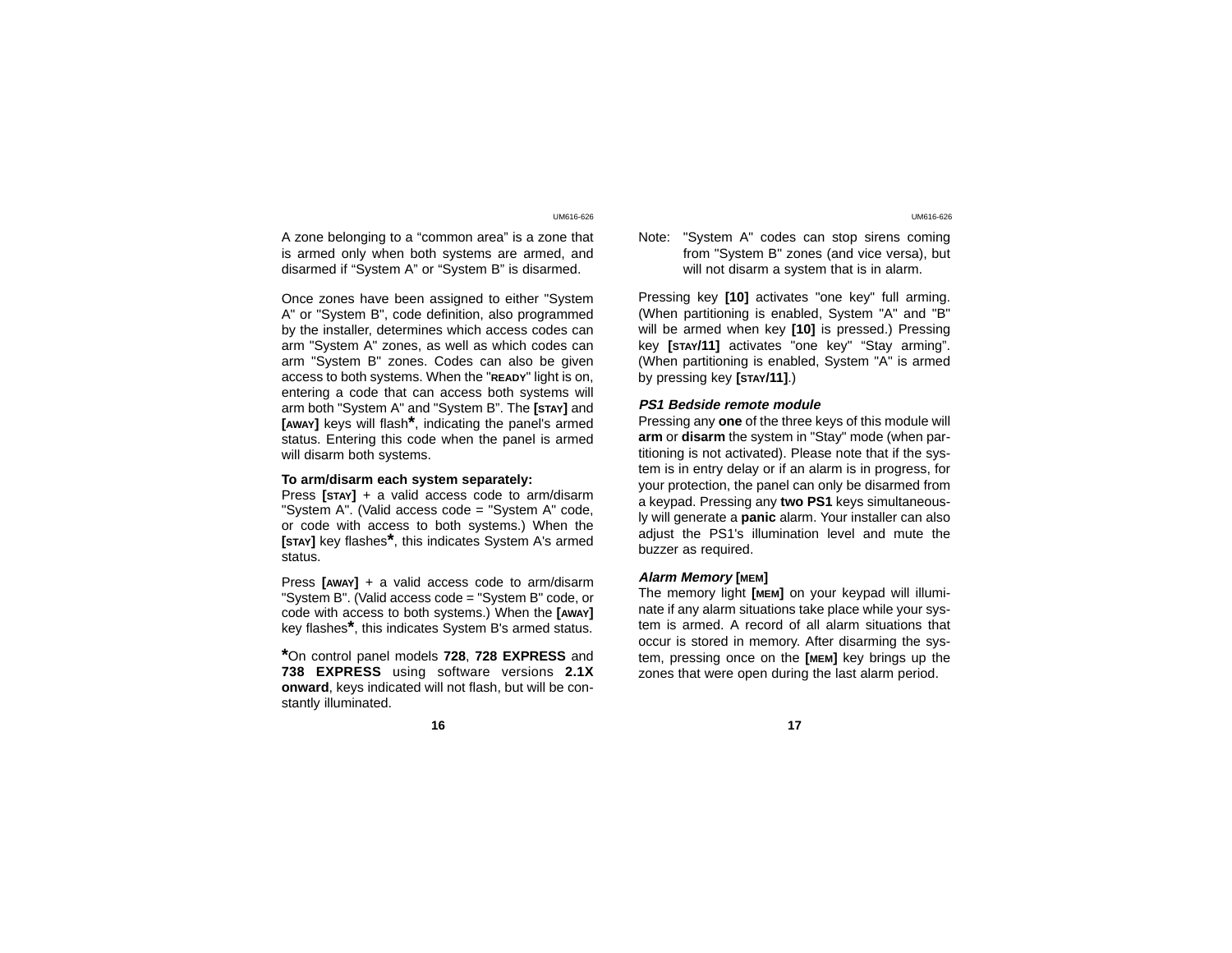A zone belonging to a "common area" is a zone that is armed only when both systems are armed, and disarmed if "System A" or "System B" is disarmed.

Once zones have been assigned to either "System A" or "System B", code definition, also programmed by the installer, determines which access codes can arm "System A" zones, as well as which codes can arm "System B" zones. Codes can also be given access to both systems. When the "**READY**" light is on, entering a code that can access both systems will arm both "System A" and "System B". The **[STAY]** and **[AWAY]** keys will flash**\***, indicating the panel's armed status. Entering this code when the panel is armed will disarm both systems.

# **To arm/disarm each system separately:**

Press **[STAY]** + a valid access code to arm/disarm "System A". (Valid access code = "System A" code, or code with access to both systems.) When the **[STAY]** key flashes**\***, this indicates System A's armed status.

Press **[AWAY]** + a valid access code to arm/disarm "System B". (Valid access code = "System B" code, or code with access to both systems.) When the **[AWAY]** key flashes**\***, this indicates System B's armed status.

**\***On control panel models **728**, **728 EXPRESS** and **738 EXPRESS** using software versions **2.1X onward**, keys indicated will not flash, but will be constantly illuminated.

#### **16 17**

# Note: "System A" codes can stop sirens coming from "System B" zones (and vice versa), but will not disarm a system that is in alarm.

Pressing key **[10]** activates "one key" full arming. (When partitioning is enabled, System "A" and "B" will be armed when key **[10]** is pressed.) Pressing key **[STAY/11]** activates "one key" "Stay arming". (When partitioning is enabled, System "A" is armed by pressing key **[STAY/11]**.)

## **PS1 Bedside remote module**

Pressing any **one** of the three keys of this module will **arm** or **disarm** the system in "Stay" mode (when partitioning is not activated). Please note that if the system is in entry delay or if an alarm is in progress, for your protection, the panel can only be disarmed from a keypad. Pressing any **two PS1** keys simultaneously will generate a **panic** alarm. Your installer can also adjust the PS1's illumination level and mute the buzzer as required.

## **Alarm Memory [MEM]**

The memory light **[MEM]** on your keypad will illuminate if any alarm situations take place while your system is armed. A record of all alarm situations that occur is stored in memory. After disarming the system, pressing once on the **[MEM]** key brings up the zones that were open during the last alarm period.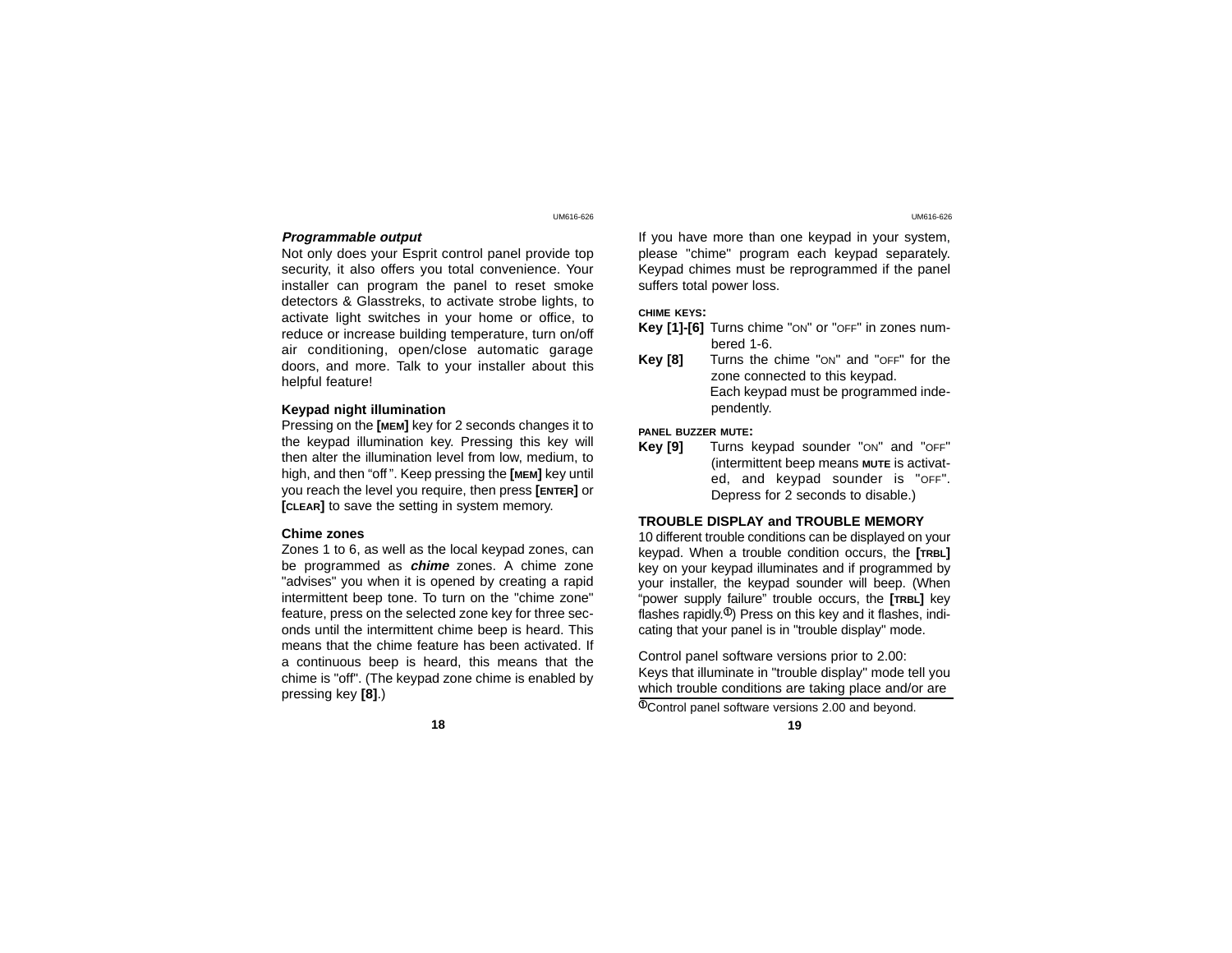## **Programmable output**

Not only does your Esprit control panel provide top security, it also offers you total convenience. Your installer can program the panel to reset smoke detectors & Glasstreks, to activate strobe lights, to activate light switches in your home or office, to reduce or increase building temperature, turn on/off air conditioning, open/close automatic garage doors, and more. Talk to your installer about this helpful feature!

## **Keypad night illumination**

Pressing on the **[MEM]** key for 2 seconds changes it to the keypad illumination key. Pressing this key will then alter the illumination level from low, medium, to high, and then "off". Keep pressing the **[MEM]** key until you reach the level you require, then press **[ENTER]** or **[CLEAR]** to save the setting in system memory.

## **Chime zones**

Zones 1 to 6, as well as the local keypad zones, can be programmed as **chime** zones. A chime zone "advises" you when it is opened by creating a rapid intermittent beep tone. To turn on the "chime zone" feature, press on the selected zone key for three seconds until the intermittent chime beep is heard. This means that the chime feature has been activated. If a continuous beep is heard, this means that the chime is "off". (The keypad zone chime is enabled by pressing key **[8]**.)

If you have more than one keypad in your system, please "chime" program each keypad separately. Keypad chimes must be reprogrammed if the panel suffers total power loss.

### **CHIME KEYS:**

- **Key [1]-[6]** Turns chime "ON" or "OFF" in zones numbered 1-6.
- **Key [8]** Turns the chime "ON" and "OFF" for the zone connected to this keypad. Each keypad must be programmed independently.

## **PANEL BUZZER MUTE:**

**Key [9]** Turns keypad sounder "ON" and "OFF" (intermittent beep means **MUTE** is activated, and keypad sounder is "OFF". Depress for 2 seconds to disable.)

#### **TROUBLE DISPLAY and TROUBLE MEMOR Y**

10 different trouble conditions can be displayed on your keypad. When a trouble condition occurs, the **[TRBL]** key on your keypad illuminates and if programmed by your installer, the keypad sounder will beep. (When "power supply failure" trouble occurs, the **[TRBL]** key flashes rapidly.<sup>®</sup>) Press on this key and it flashes, indicating that your panel is in "trouble display" mode.

Control panel software versions prior to 2.00: Keys that illuminate in "trouble display" mode tell you which trouble conditions are taking place and/or are

 $\Phi$ Control panel software versions 2.00 and beyond.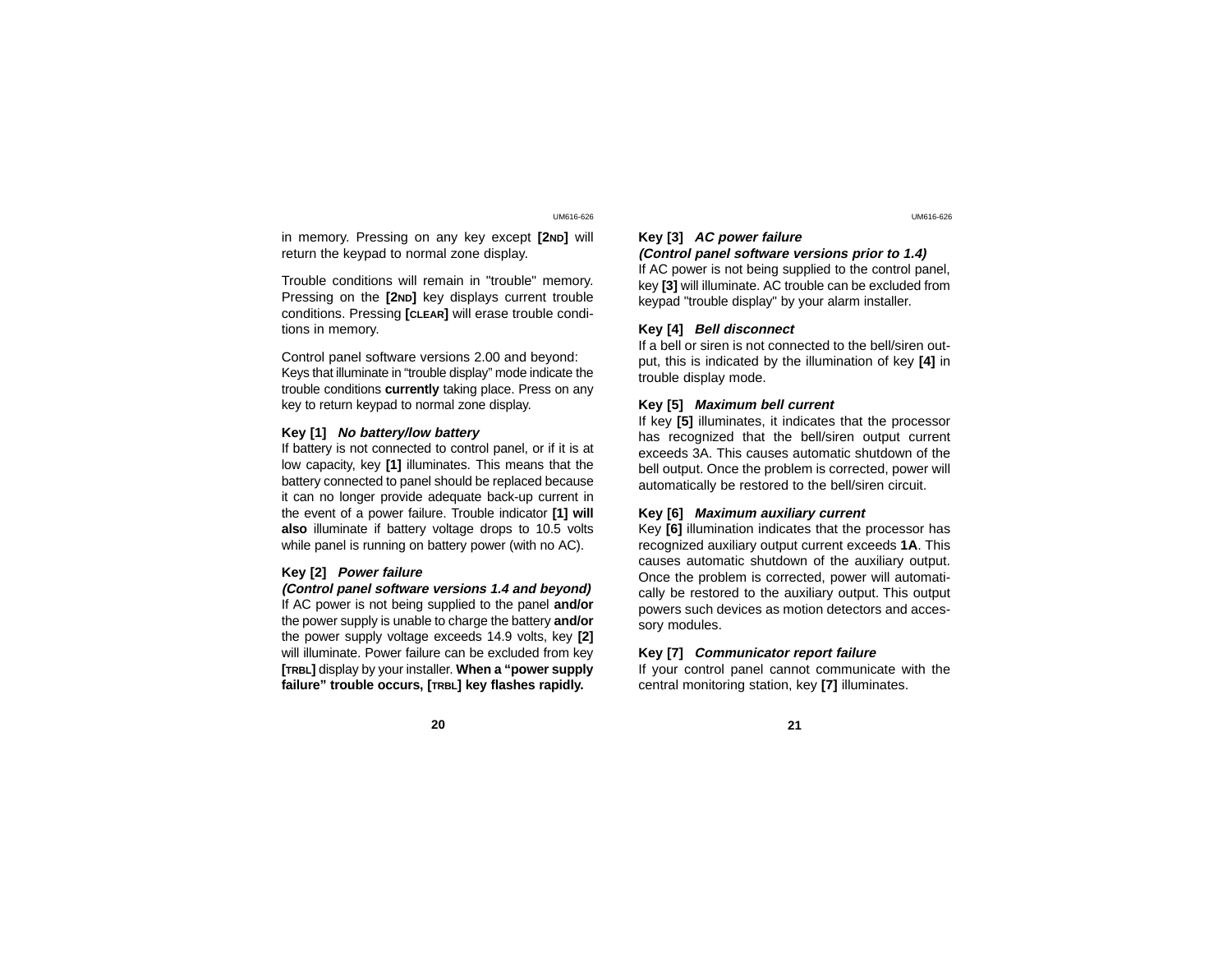in memory. Pressing on any key except **[2ND]** will return the keypad to normal zone display.

Trouble conditions will remain in "trouble" memory. Pressing on the **[2ND]** key displays current trouble conditions. Pressing **[CLEAR]** will erase trouble conditions in memory.

Control panel software versions 2.00 and beyond: Keys that illuminate in "trouble display" mode indicate the trouble conditions **currently** taking place. Press on any key to return keypad to normal zone display.

## **Key [1] No battery/low battery**

If battery is not connected to control panel, or if it is at low capacity, key **[1]** illuminates. This means that the battery connected to panel should be replaced because it can no longer provide adequate back-up current in the event of a power failure. Trouble indicator **[1] will also** illuminate if battery voltage drops to 10.5 volts while panel is running on battery power (with no AC).

## **Key [2] Power failure**

**(Control panel software versions 1.4 and beyond)** If AC power is not being supplied to the panel **and/or** the power supply is unable to charge the battery **and/or** the power supply voltage exceeds 14.9 volts, key **[2]** will illuminate. Power failure can be excluded from key **[TRBL]** display by your installer. **When a "power supply failure" trouble occurs, [TRBL] key flashes rapidly.**

## **Key [3] AC power failure**

**(Control panel software versions prior to 1.4)** If AC power is not being supplied to the control panel,

key **[3]** will illuminate. AC trouble can be excluded from keypad "trouble display" by your alarm installer.

## **Key [4] Bell disconnect**

If a bell or siren is not connected to the bell/siren output, this is indicated by the illumination of key **[4]** in trouble display mode.

## **Key [5] Maximum bell current**

If key **[5]** illuminates, it indicates that the processor has recognized that the bell/siren output current exceeds 3A. This causes automatic shutdown of the bell output. Once the problem is corrected, power will automatically be restored to the bell/siren circuit.

## **Key [6] Maximum auxiliary current**

Key **[6]** illumination indicates that the processor has recognized auxiliary output current exceeds **1A**. This causes automatic shutdown of the auxiliary output. Once the problem is corrected, power will automatically be restored to the auxiliary output. This output powers such devices as motion detectors and accessory modules.

### **Key [7] Communicator report failure**

If your control panel cannot communicate with the central monitoring station, key **[7]** illuminates.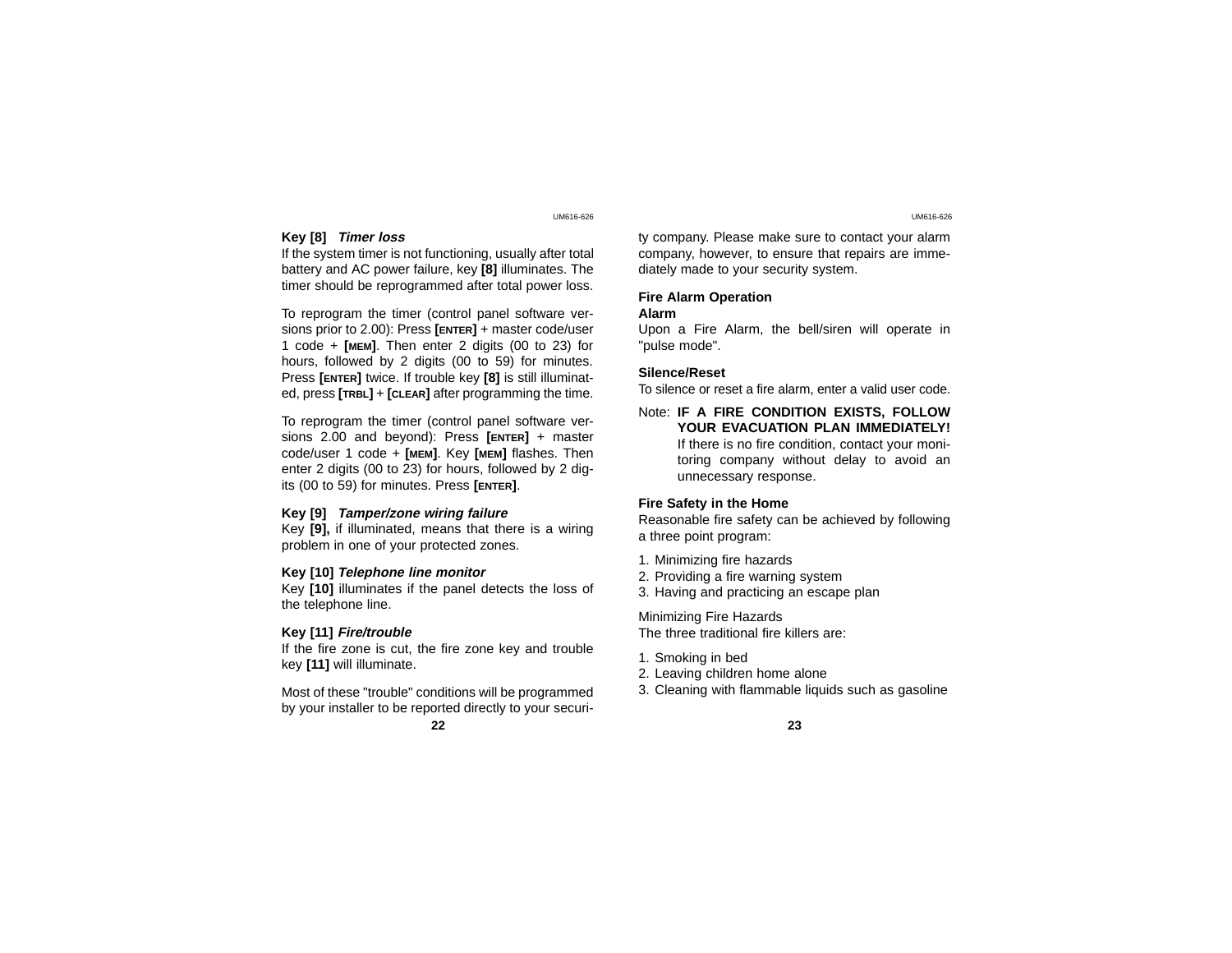### **Key [8] Timer loss**

If the system timer is not functioning, usually after total battery and AC power failure, key **[8]** illuminates. The timer should be reprogrammed after total power loss.

To reprogram the timer (control panel software versions prior to 2.00): Press **[ENTER]** + master code/user 1 code + **[MEM]**. Then enter 2 digits (00 to 23) for hours, followed by 2 digits (00 to 59) for minutes. Press **[ENTER]** twice. If trouble key **[8]** is still illuminated, press **[TRBL]** <sup>+</sup>**[CLEAR]** after programming the time.

To reprogram the timer (control panel software versions 2.00 and beyond): Press **[ENTER]** + master code/user 1 code + **[MEM]**. Key **[MEM]** flashes. Then enter 2 digits (00 to 23) for hours, followed by 2 digits (00 to 59) for minutes. Press **[ENTER]**.

### **Key [9] Tamper/zone wiring failure**

Key **[9],** if illuminated, means that there is a wiring problem in one of your protected zones.

#### **Key [10] Telephone line monitor**

Key **[10]** illuminates if the panel detects the loss of the telephone line.

## **Key [11] Fire/trouble**

If the fire zone is cut, the fire zone key and trouble key **[11]** will illuminate.

Most of these "trouble" conditions will be programmed by your installer to be reported directly to your securi-

**22 23**

ty company. Please make sure to contact your alarm company, however, to ensure that repairs are imme diately made to your security system.

# **Fire Alarm Operation**

# **Alarm**

Upon a Fire Alarm, the bell/siren will operate in "pulse mode".

## **Silence/Reset**

To silence or reset a fire alarm, enter a valid user code.

Note: **IF A FIRE CONDITION EXISTS, FOLLOW YOUR EVACUATION PLAN IMMEDIATELY!** If there is no fire condition, contact your monitoring company without delay to avoid an unnecessary response.

## **Fire Safety in the Home**

Reasonable fire safety can be achieved by following a three point program:

- 1. Minimizing fire hazards
- 2. Providing a fire warning system
- 3. Having and practicing an escape plan

Minimizing Fire Hazards The three traditional fire killers are:

- 1. Smoking in bed
- 2. Leaving children home alone
- 3. Cleaning with flammable liquids such as gasoline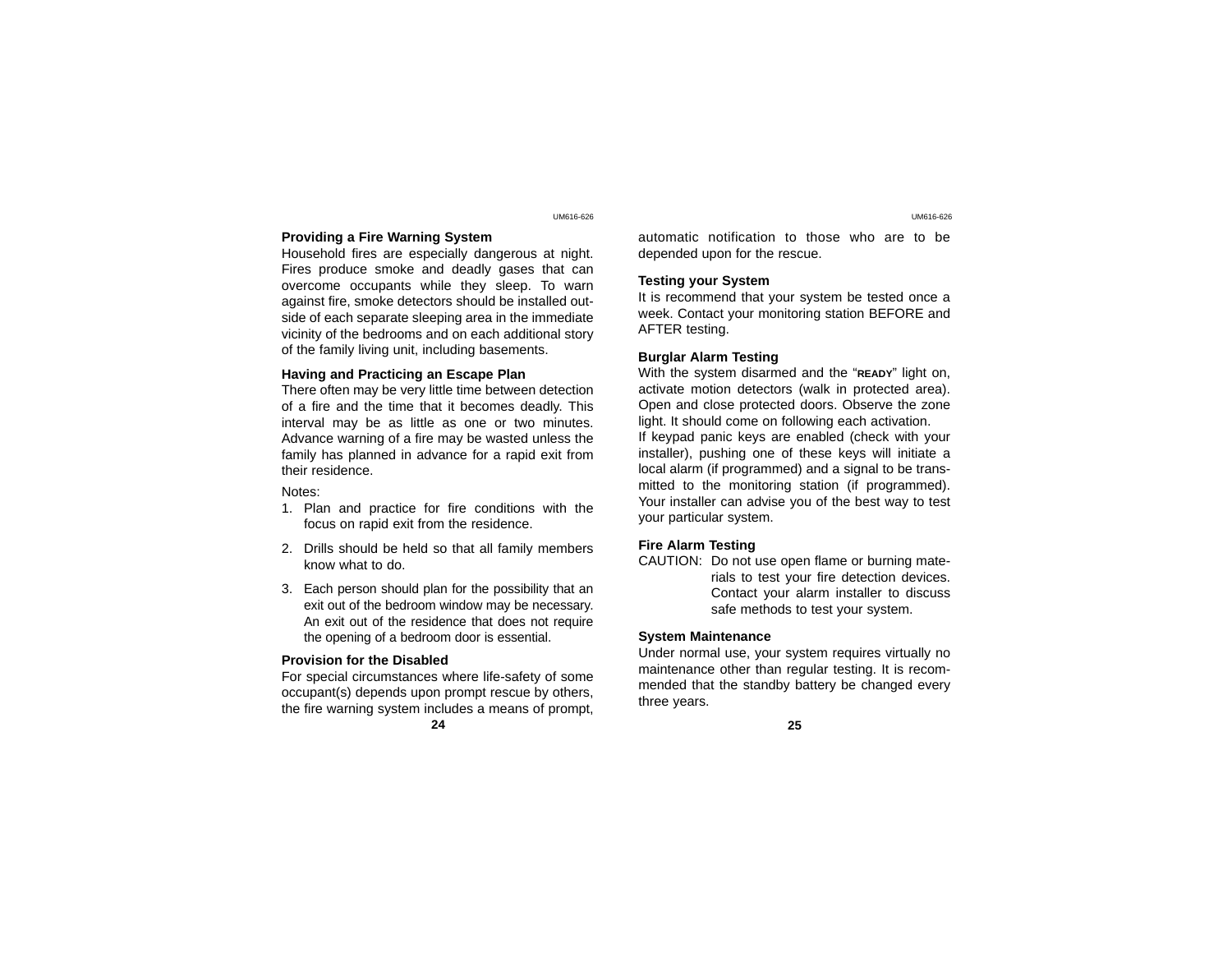## **Providing a Fire Warning System**

Household fires are especially dangerous at night. Fires produce smoke and deadly gases that can overcome occupants while they sleep. To warn against fire, smoke detectors should be installed outside of each separate sleeping area in the immediate vicinity of the bedrooms and on each additional story of the family living unit, including basements.

## **Having and Practicing an Escape Plan**

There often may be very little time between detection of a fire and the time that it becomes deadly. This interval may be as little as one or two minutes. Advance warning of a fire may be wasted unless the family has planned in advance for a rapid exit from their residence.

## Notes:

- 1. Plan and practice for fire conditions with the focus on rapid exit from the residence.
- 2. Drills should be held so that all family members know what to do.
- 3. Each person should plan for the possibility that an exit out of the bedroom window may be necessary. An exit out of the residence that does not require the opening of a bedroom door is essential.

## **Provision for the Disabled**

For special circumstances where life-safety of some occupant(s) depends upon prompt rescue by others, the fire warning system includes a means of prompt,

**24 25**

automatic notification to those who are to be depended upon for the rescue.

## **Testing your System**

It is recommend that your system be tested once a week. Contact your monitoring station BEFORE and AFTER testing.

## **Burglar Alarm Testing**

With the system disarmed and the "**READY**" light on, activate motion detectors (walk in protected area). Open and close protected doors. Observe the zone light. It should come on following each activation. If keypad panic keys are enabled (check with your installer), pushing one of these keys will initiate a local alarm (if programmed) and a signal to be transmitted to the monitoring station (if programmed). Your installer can advise you of the best way to test your particular system.

## **Fire Alarm Testing**

CAUTION: Do not use open flame or burning materials to test your fire detection devices. Contact your alarm installer to discuss safe methods to test your system.

## **System Maintenance**

Under normal use, your system requires virtually no maintenance other than regular testing. It is recommended that the standby battery be changed every three years.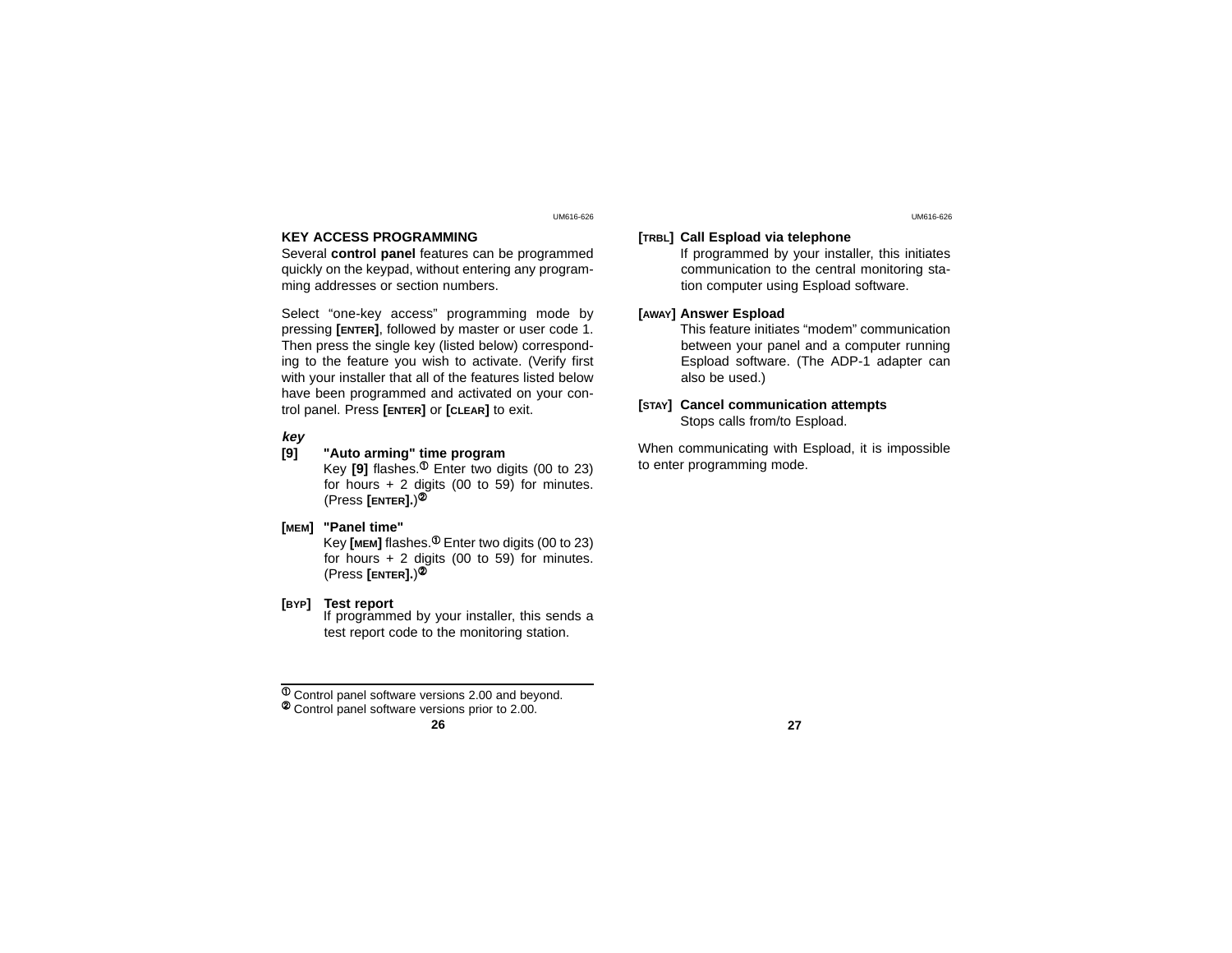# **KEY ACCESS PROGRAMMING**

Several **control panel** features can be programmed quickly on the keypad, without entering any programming addresses or section numbers.

Select "one-key access" programming mode by pressing **[ENTER]**, followed by master or user code 1. Then press the single key (listed below) corresponding to the feature you wish to activate. (Verify first with your installer that all of the features listed below have been programmed and activated on your control panel. Press **[ENTER]** or **[CLEAR]** to exit.

## *key*<br>[9] **[9] "Auto arming" time program**

Key  $[9]$  flashes.<sup> $\Phi$ </sup> Enter two digits (00 to 23) for hours + 2 digits (00 to 59) for minutes. (Press **[ENTER].**)<sup>2</sup>

# **[MEM] "Panel time"**

Key **[MEM]** flashes. $\Phi$  Enter two digits (00 to 23) for hours  $+ 2$  digits (00 to 59) for minutes. (Press **[ENTER].**)<sup>Á</sup>

# **[BYP] Test report**

If programmed by your installer, this sends a test report code to the monitoring station.

 $\overline{4}$  Control panel software versions 2.00 and beyond.  $\overline{4}$  Control panel software versions prior to 2.00.

## **[TRBL] Call Espload via telephone**

If programmed by your installer, this initiates communication to the central monitoring station computer using Espload software.

## **[AWAY] Answer Espload**

This feature initiates "modem" communication between your panel and a computer running Espload software. (The ADP-1 adapter can also be used.)

## **[STAY] Cancel communication attempts** Stops calls from/to Espload.

When communicating with Espload, it is impossible to enter programming mode.

## UM616-626 UM616-626

**<sup>26</sup> 27**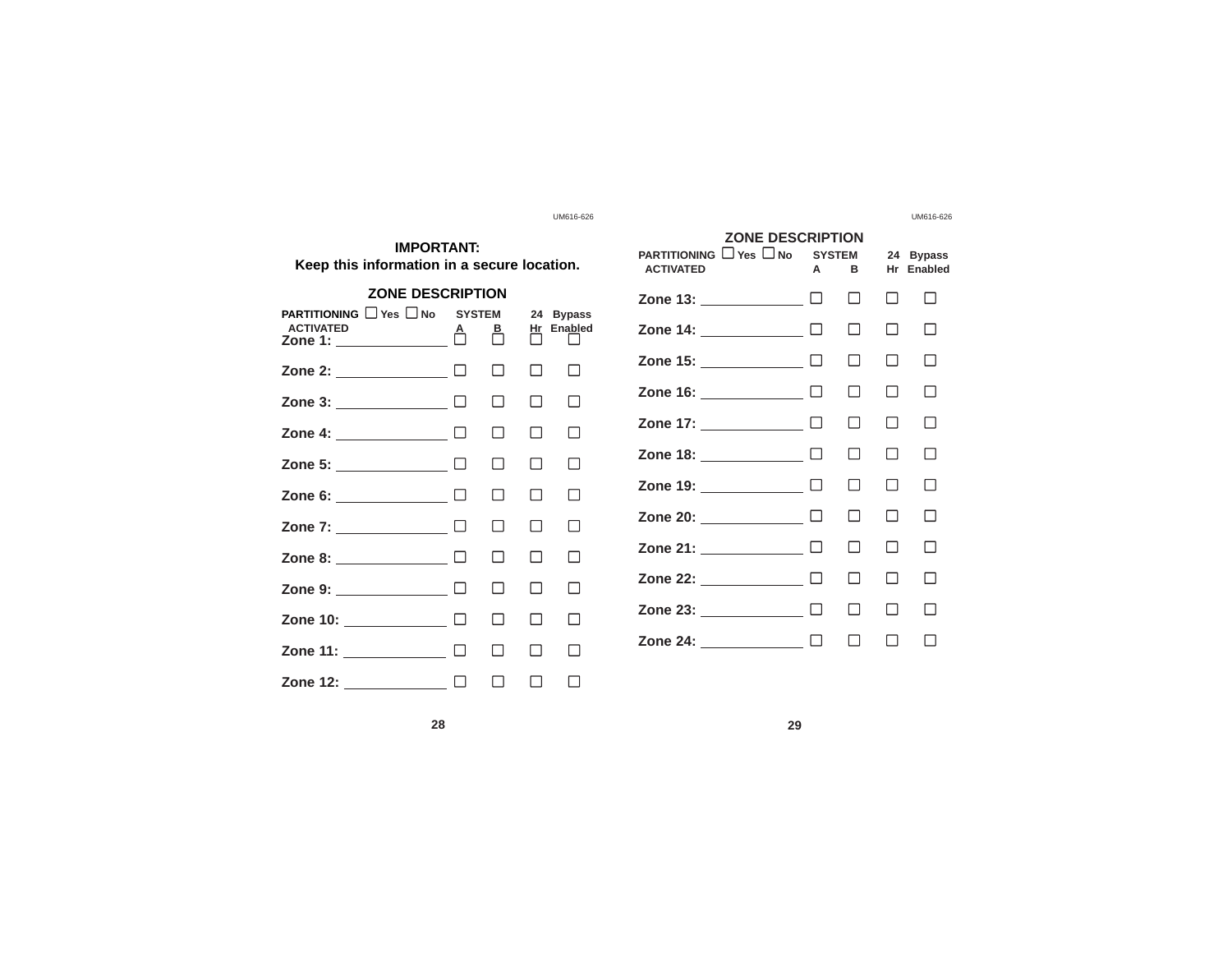| <b>IMPORTANT:</b><br>Keep this information in a secure location.                              |  |              |                           |                                 |  |  |
|-----------------------------------------------------------------------------------------------|--|--------------|---------------------------|---------------------------------|--|--|
| <b>ZONE DESCRIPTION</b>                                                                       |  |              |                           |                                 |  |  |
| <b>PARTITIONING</b> Yes ■No SYSTEM<br><b>ACTIVATED</b><br>Zone 1: $\overline{\qquad \qquad }$ |  | ௺            | 24<br><u>Hr</u><br>$\Box$ | <b>Bypass</b><br><b>Enabled</b> |  |  |
| Zone 2: $\qquad \qquad \Box$                                                                  |  | П            | П                         | П                               |  |  |
| Zone 3: $\qquad \qquad \square$                                                               |  | П            | П                         | $\blacksquare$                  |  |  |
| Zone 4: $\qquad \qquad \Box$                                                                  |  | П            | П                         | П                               |  |  |
| Zone 5: _____________ □                                                                       |  | П            | П                         | П                               |  |  |
| Zone 6: $\qquad \qquad \square$                                                               |  | П            | П                         | П                               |  |  |
| Zone 7: ____________ □                                                                        |  | П            | П                         | $\Box$                          |  |  |
| Zone 8: $\qquad \qquad \square$                                                               |  | П            | П                         | П                               |  |  |
| Zone 9: ____________ □                                                                        |  | П            | П                         | П                               |  |  |
| Zone 10: <u>□ □ □ □</u> □                                                                     |  | П            | П                         | $\overline{\phantom{a}}$        |  |  |
| Zone 11: $\qquad \qquad \Box$                                                                 |  | П            | П                         | - 1                             |  |  |
| Zone 12: ___________ □                                                                        |  | $\mathsf{L}$ | $\blacksquare$            |                                 |  |  |

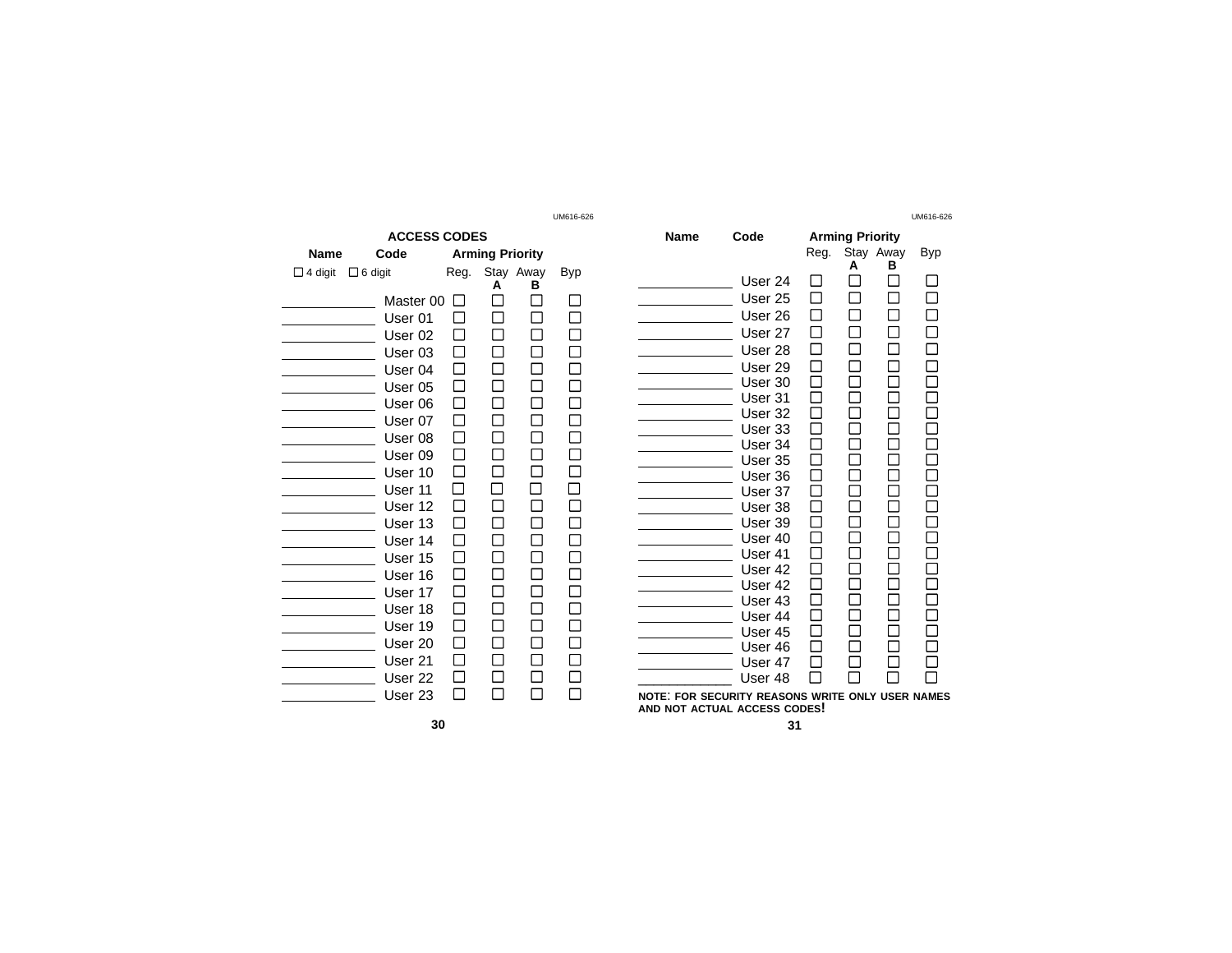|                     |                                                                                                                                                        |                        |   |           | UMD I 0∹0∠0 |  |
|---------------------|--------------------------------------------------------------------------------------------------------------------------------------------------------|------------------------|---|-----------|-------------|--|
| <b>ACCESS CODES</b> |                                                                                                                                                        |                        |   |           |             |  |
| Code<br>Name        |                                                                                                                                                        | <b>Arming Priority</b> |   |           |             |  |
| $\Box$ 4 digit      | $\Box$ 6 digit                                                                                                                                         | Reg.                   |   | Stay Away | <b>Byp</b>  |  |
|                     | Master 00<br>User <sub>01</sub><br>User 02<br>User 03<br>User 04<br>User 05<br>User 06<br>User 07<br>User 08<br>User 09<br>User 10<br>User 11          |                        | Δ | R         |             |  |
|                     | User 12<br>User 13<br>User 14<br>User 15<br>User 16<br>User 17<br>User 18<br>User 19<br>User <sub>20</sub><br>User 21<br>User <sub>22</sub><br>User 23 |                        |   |           |             |  |

| UM616-626  |             |                                                                                  |      |                        |   | UM616-626 |
|------------|-------------|----------------------------------------------------------------------------------|------|------------------------|---|-----------|
|            | <b>Name</b> | Code                                                                             |      | <b>Arming Priority</b> |   |           |
|            |             |                                                                                  | Reg. | Stay Away<br>А         | в | Byp       |
| <b>Byp</b> |             | User 24                                                                          |      |                        |   |           |
|            |             | User <sub>25</sub>                                                               |      |                        |   |           |
|            |             | User 26                                                                          |      |                        |   |           |
|            |             | User 27                                                                          |      |                        |   |           |
|            |             | User 28                                                                          |      |                        |   |           |
|            |             | User 29                                                                          |      |                        |   |           |
|            |             | User 30                                                                          |      |                        |   |           |
| Γ          |             | User 31                                                                          |      |                        |   |           |
|            |             | User 32                                                                          |      |                        |   |           |
|            |             | User 33                                                                          |      |                        |   |           |
|            |             | User 34                                                                          |      |                        |   |           |
|            |             | User 35                                                                          |      |                        |   |           |
|            |             | User 36                                                                          |      |                        |   |           |
|            |             | User 37<br>User 38                                                               |      |                        |   |           |
|            |             | User 39                                                                          |      |                        |   |           |
|            |             | User 40                                                                          |      |                        |   |           |
|            |             | User 41                                                                          |      |                        |   |           |
|            |             | User 42                                                                          |      |                        |   |           |
|            |             | User 42                                                                          |      |                        |   |           |
|            |             | User 43                                                                          |      |                        |   |           |
|            |             | User 44                                                                          |      |                        |   |           |
|            |             | User 45                                                                          |      |                        |   |           |
|            |             | User 46                                                                          |      |                        |   |           |
|            |             | User 47                                                                          |      |                        |   |           |
|            |             | User 48                                                                          |      |                        |   |           |
|            |             | NOTE: FOR SECURITY REASONS WRITE ONLY USER NAMES<br>AND NOT ACTUAL ACCESS CODES! |      |                        |   |           |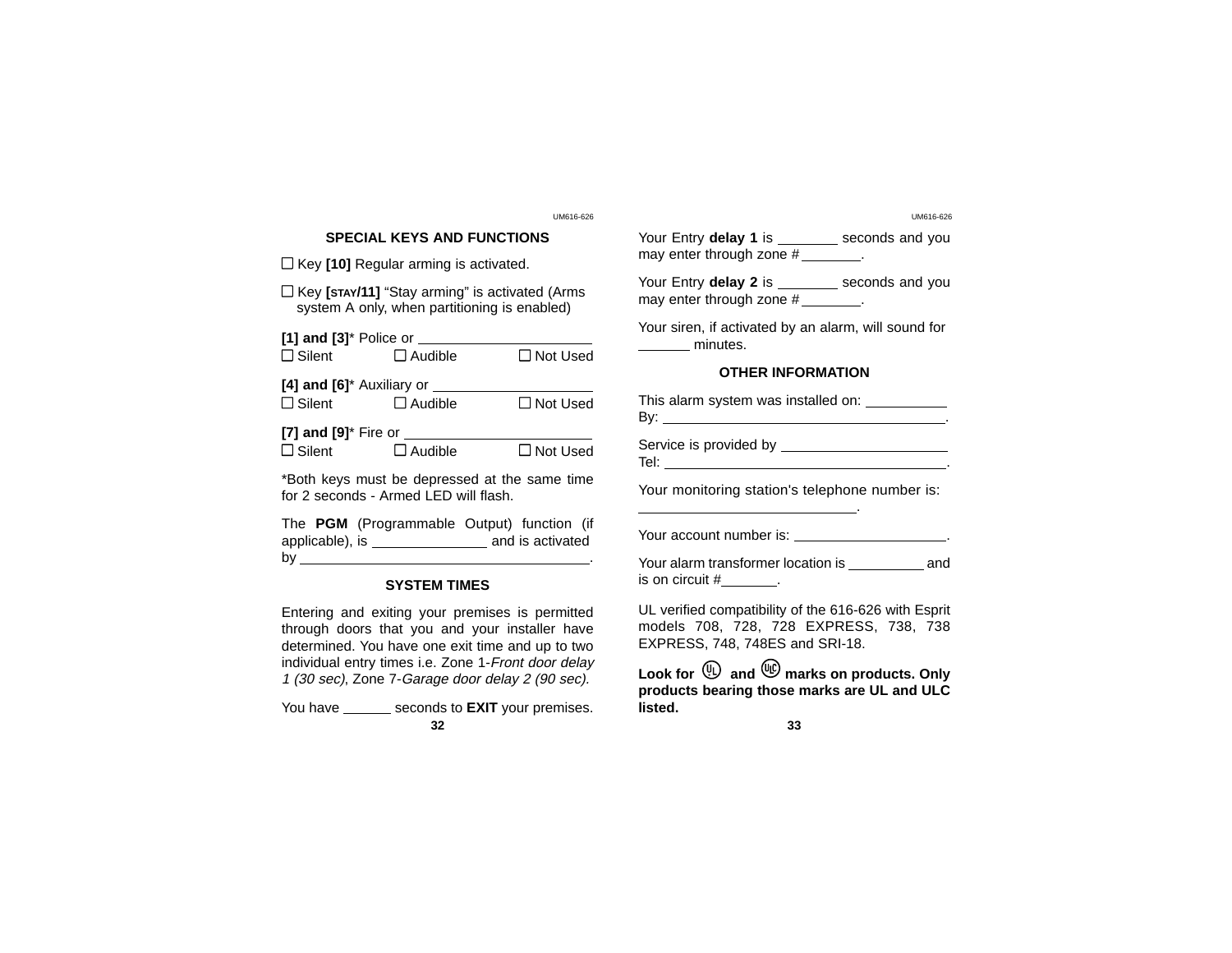# **SPECIAL KEYS AND FUNCTIONS**

□ Key **[10]** Regular arming is activated.

l Key **[STAY/11]** "Stay arming" is activated (Arms system A only, when partitioning is enabled)

| $[1]$ and $[3]$ <sup>*</sup> Police or                       |                |                 |  |  |  |
|--------------------------------------------------------------|----------------|-----------------|--|--|--|
| $\Box$ Silent                                                | $\Box$ Audible | $\Box$ Not Used |  |  |  |
| [4] and $[6]^*$ Auxiliary or $\blacksquare$<br>$\Box$ Silent | $\Box$ Audible | $\Box$ Not Used |  |  |  |
|                                                              |                |                 |  |  |  |
| [7] and [9]* Fire or                                         |                |                 |  |  |  |

 $\Box$  Silent  $\Box$  Audible  $\Box$  Not Used

\*Both keys must be depressed at the same time for 2 seconds - Armed LED will flash.

The **PGM** (Programmable Output) function (if applicable), is and is activated by .

# **SYSTEM TIMES**

Entering and exiting your premises is permitted through doors that you and your installer have determined. You have one exit time and up to two individual entry times i.e. Zone 1-Front door delay 1 (30 sec), Zone 7-Garage door delay 2 (90 sec).

You have \_\_\_\_\_\_\_ seconds to **EXIT** your premises. **32 33**

UM616-626 UM616-626

Your Entry **delay 1** is \_\_\_\_\_\_\_ seconds and you may enter through zone #

Your Entry **delay 2** is \_\_\_\_\_\_\_ seconds and you may enter through zone #

Your siren, if activated by an alarm, will sound for minutes.

## **OTHER INFORMATION**

| This alarm system was installed on: ____<br>By: where the contract of the contract of the contract of the contract of the contract of the contract of the c |  |
|-------------------------------------------------------------------------------------------------------------------------------------------------------------|--|
| Service is provided by<br>Tel:                                                                                                                              |  |

Your monitoring station's telephone number is:

Your account number is: \_\_\_\_\_\_\_\_\_\_\_\_\_\_\_\_\_\_\_\_.

Your alarm transformer location is \_\_\_\_\_\_\_\_\_\_ and is on circuit  $#$   $\qquad \qquad$ .

UL verified compatibility of the 616-626 with Esprit models 708, 728, 728 EXPRESS, 738, 738 EXPRESS, 748, 748ES and SRI-18.

Look for  $\overline{w}$  and  $\overline{w}$  marks on products. Only **products bearing those marks are UL and ULC listed.**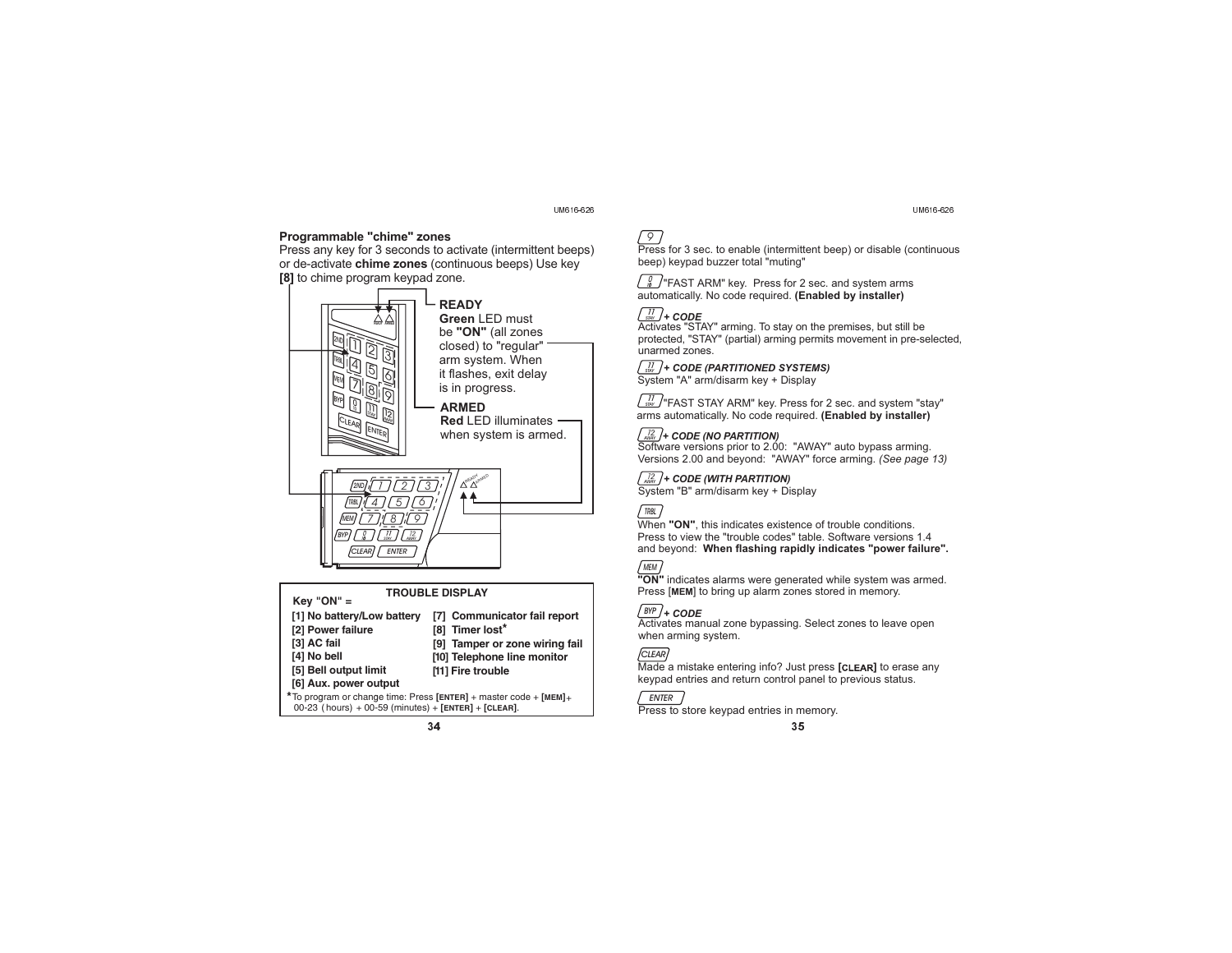UM616-626

## **Programmable "chime" zones**

**chime zones** or de-activate (continuous beeps) Use key **[8]** to chime program keypad zone. Press any key for 3 seconds to activate (intermittent beeps)



#### **Key "ON" <sup>=</sup> [1] No battery/Low battery [7] Communicator fail report [2] Power failure [3] AC fail [4] No bell [5] Bell output limit [6] Aux. power output [8] Timer lost \* [9] Tamper or zone wiring fail [10] Telephone line monitor [11] Fire trouble**  $*$  To program or change time: Press [ENTER] + master code + [MEM]+ 00-23 ( hours) + 00-59 (minutes) + **[ENTER]** + **[CLEAR]**.  $34$  34

#### UM616-626



"FAST ARM" key. Press for 2 sec. and system arms 1*0 0*automatically. No code required. **(Enabled by installer)**

## *STAY* 11 **+ CODE**

Activates "STAY" arming. To stay on the premises, but still be protected, "STAY" (partial) arming permits movement in pre-selected, unarmed zones.

## *STAY*11 **+ CODE (PARTITIONED SYSTEMS)**

System "A" arm/disarm key <sup>+</sup> Display

*STAY* 11 "FAST STAY ARM" key. Press for 2 sec. and system "stay" arms automatically. No code required. **(Enabled by installer)**

*AWAY* 1*2* Software versions prior to 2.00: "AWAY" auto bypass arming. **+ CODE (NO PARTITION)** Versions 2.00 and beyond: "AWAY" force arming. *(See page 13)*

### *AWAY*1*2* **+ CODE (WITH PARTITION)**

System "B" arm/disarm key <sup>+</sup> Display

#### *TRBL*

When "ON", this indicates existence of trouble conditions. Press to view the "trouble codes" table. Software versions 1.4 and beyond: **When flashing rapidly indicates "power failure".**



#### **"ON"** indicates alarms were generated while system was armed. Press [MEM] to bring up alarm zones stored in memory.

*BYP* **+ CODE**

 Activates manual zone bypassing. Select zones to leave open when arming system.

#### *CLEAR*

Made a mistake entering info? Just press [CLEAR] to erase any keypad entries and return control panel to previous status.

## *ENTER*

**Press to store keypad entries in memory.**